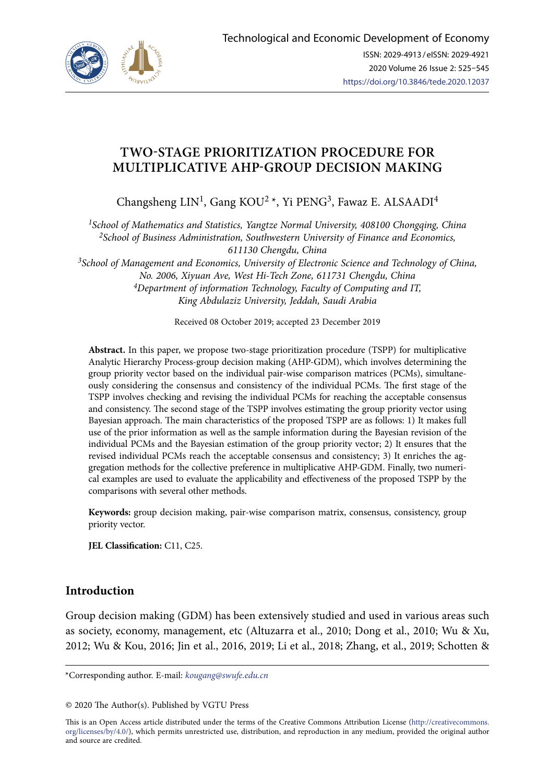

# **TWO-STAGE PRIORITIZATION PROCEDURE FOR MULTIPLICATIVE AHP-GROUP DECISION MAKING**

Changsheng LIN<sup>1</sup>, Gang KOU<sup>2</sup><sup>\*</sup>, Yi PENG<sup>3</sup>, Fawaz E. ALSAADI<sup>4</sup>

*1School of Mathematics and Statistics, Yangtze Normal University, 408100 Chongqing, China 2School of Business Administration, Southwestern University of Finance and Economics, 611130 Chengdu, China*

*3School of Management and Economics, University of Electronic Science and Technology of China, No. 2006, Xiyuan Ave, West Hi-Tech Zone, 611731 Chengdu, China 4Department of information Technology, Faculty of Computing and IT, King Abdulaziz University, Jeddah, Saudi Arabia*

Received 08 October 2019; accepted 23 December 2019

**Abstract.** In this paper, we propose two-stage prioritization procedure (TSPP) for multiplicative Analytic Hierarchy Process-group decision making (AHP-GDM), which involves determining the group priority vector based on the individual pair-wise comparison matrices (PCMs), simultaneously considering the consensus and consistency of the individual PCMs. The first stage of the TSPP involves checking and revising the individual PCMs for reaching the acceptable consensus and consistency. The second stage of the TSPP involves estimating the group priority vector using Bayesian approach. The main characteristics of the proposed TSPP are as follows: 1) It makes full use of the prior information as well as the sample information during the Bayesian revision of the individual PCMs and the Bayesian estimation of the group priority vector; 2) It ensures that the revised individual PCMs reach the acceptable consensus and consistency; 3) It enriches the aggregation methods for the collective preference in multiplicative AHP-GDM. Finally, two numerical examples are used to evaluate the applicability and effectiveness of the proposed TSPP by the comparisons with several other methods.

**Keywords:** group decision making, pair-wise comparison matrix, consensus, consistency, group priority vector.

**JEL Classification:** C11, C25.

# **Introduction**

Group decision making (GDM) has been extensively studied and used in various areas such as society, economy, management, etc (Altuzarra et al., 2010; Dong et al., 2010; Wu & Xu, 2012; Wu & Kou, 2016; Jin et al., 2016, 2019; Li et al., 2018; Zhang, et al., 2019; Schotten &

\*Corresponding author. E-mail: *kougang@swufe.edu.cn*

This is an Open Access article distributed under the terms of the Creative Commons Attribution License ([http://creativecommons.](http://dx.doi.org/10.1016/S0377-2217(03)00091-2) [org/licenses/by/4.0/\)](http://dx.doi.org/10.1016/S0377-2217(03)00091-2), which permits unrestricted use, distribution, and reproduction in any medium, provided the original author and source are credited.

<sup>© 2020</sup> The Author(s). Published by VGTU Press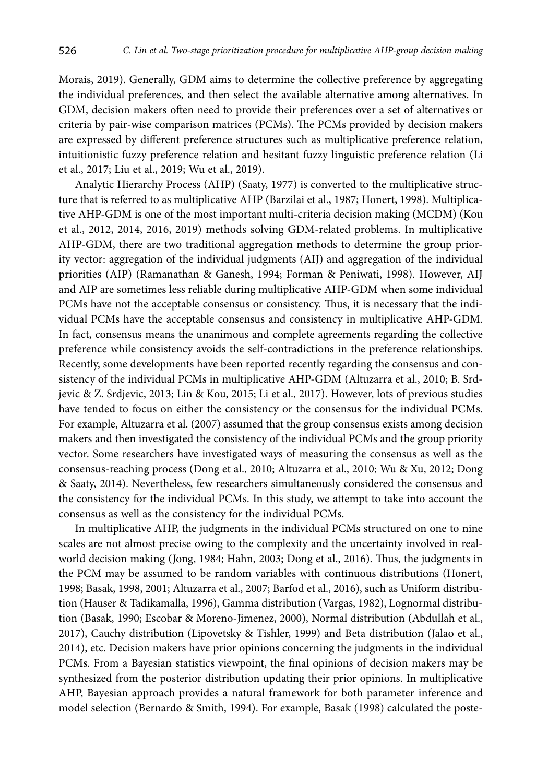Morais, 2019). Generally, GDM aims to determine the collective preference by aggregating the individual preferences, and then select the available alternative among alternatives. In GDM, decision makers often need to provide their preferences over a set of alternatives or criteria by pair-wise comparison matrices (PCMs). The PCMs provided by decision makers are expressed by different preference structures such as multiplicative preference relation, intuitionistic fuzzy preference relation and hesitant fuzzy linguistic preference relation (Li et al., 2017; Liu et al., 2019; Wu et al., 2019).

Analytic Hierarchy Process (AHP) (Saaty, 1977) is converted to the multiplicative structure that is referred to as multiplicative AHP (Barzilai et al., 1987; Honert, 1998). Multiplicative AHP-GDM is one of the most important multi-criteria decision making (MCDM) (Kou et al., 2012, 2014, 2016, 2019) methods solving GDM-related problems. In multiplicative AHP-GDM, there are two traditional aggregation methods to determine the group priority vector: aggregation of the individual judgments (AIJ) and aggregation of the individual priorities (AIP) (Ramanathan & Ganesh, 1994; Forman & Peniwati, 1998). However, AIJ and AIP are sometimes less reliable during multiplicative AHP-GDM when some individual PCMs have not the acceptable consensus or consistency. Thus, it is necessary that the individual PCMs have the acceptable consensus and consistency in multiplicative AHP-GDM. In fact, consensus means the unanimous and complete agreements regarding the collective preference while consistency avoids the self-contradictions in the preference relationships. Recently, some developments have been reported recently regarding the consensus and consistency of the individual PCMs in multiplicative AHP-GDM (Altuzarra et al., 2010; B. Srdjevic & Z. Srdjevic, 2013; Lin & Kou, 2015; Li et al., 2017). However, lots of previous studies have tended to focus on either the consistency or the consensus for the individual PCMs. For example, Altuzarra et al. (2007) assumed that the group consensus exists among decision makers and then investigated the consistency of the individual PCMs and the group priority vector. Some researchers have investigated ways of measuring the consensus as well as the consensus-reaching process (Dong et al., 2010; Altuzarra et al., 2010; Wu & Xu, 2012; Dong & Saaty, 2014). Nevertheless, few researchers simultaneously considered the consensus and the consistency for the individual PCMs. In this study, we attempt to take into account the consensus as well as the consistency for the individual PCMs.

In multiplicative AHP, the judgments in the individual PCMs structured on one to nine scales are not almost precise owing to the complexity and the uncertainty involved in realworld decision making (Jong, 1984; Hahn, 2003; Dong et al., 2016). Thus, the judgments in the PCM may be assumed to be random variables with continuous distributions (Honert, 1998; Basak, 1998, 2001; Altuzarra et al., 2007; Barfod et al., 2016), such as Uniform distribution (Hauser & Tadikamalla, 1996), Gamma distribution (Vargas, 1982), Lognormal distribution (Basak, 1990; Escobar & Moreno-Jimenez, 2000), Normal distribution (Abdullah et al., 2017), Cauchy distribution (Lipovetsky & Tishler, 1999) and Beta distribution (Jalao et al., 2014), etc. Decision makers have prior opinions concerning the judgments in the individual PCMs. From a Bayesian statistics viewpoint, the final opinions of decision makers may be synthesized from the posterior distribution updating their prior opinions. In multiplicative AHP, Bayesian approach provides a natural framework for both parameter inference and model selection (Bernardo & Smith, 1994). For example, Basak (1998) calculated the poste-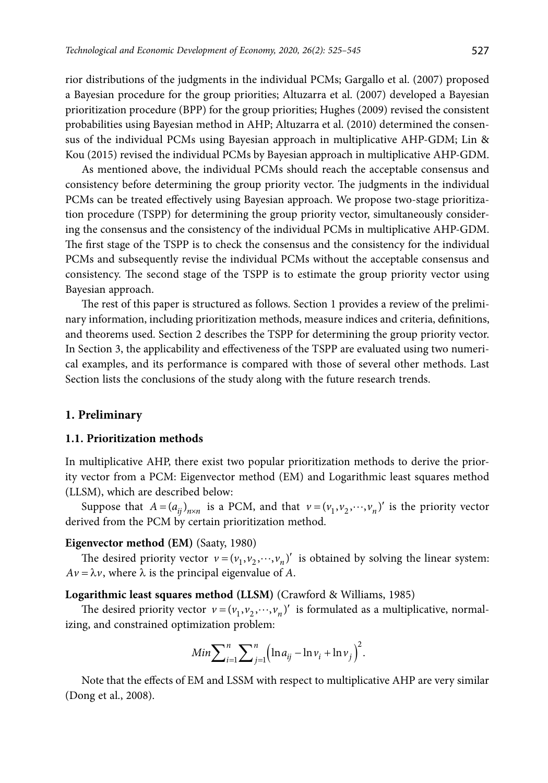rior distributions of the judgments in the individual PCMs; Gargallo et al. (2007) proposed a Bayesian procedure for the group priorities; Altuzarra et al. (2007) developed a Bayesian prioritization procedure (BPP) for the group priorities; Hughes (2009) revised the consistent probabilities using Bayesian method in AHP; Altuzarra et al. (2010) determined the consensus of the individual PCMs using Bayesian approach in multiplicative AHP-GDM; Lin & Kou (2015) revised the individual PCMs by Bayesian approach in multiplicative AHP-GDM.

As mentioned above, the individual PCMs should reach the acceptable consensus and consistency before determining the group priority vector. The judgments in the individual PCMs can be treated effectively using Bayesian approach. We propose two-stage prioritization procedure (TSPP) for determining the group priority vector, simultaneously considering the consensus and the consistency of the individual PCMs in multiplicative AHP-GDM. The first stage of the TSPP is to check the consensus and the consistency for the individual PCMs and subsequently revise the individual PCMs without the acceptable consensus and consistency. The second stage of the TSPP is to estimate the group priority vector using Bayesian approach.

The rest of this paper is structured as follows. Section 1 provides a review of the preliminary information, including prioritization methods, measure indices and criteria, definitions, and theorems used. Section 2 describes the TSPP for determining the group priority vector. In Section 3, the applicability and effectiveness of the TSPP are evaluated using two numerical examples, and its performance is compared with those of several other methods. Last Section lists the conclusions of the study along with the future research trends.

### **1. Preliminary**

#### **1.1. Prioritization methods**

In multiplicative AHP, there exist two popular prioritization methods to derive the priority vector from a PCM: Eigenvector method (EM) and Logarithmic least squares method (LLSM), which are described below:

Suppose that  $A = (a_{ij})_{n \times n}$  is a PCM, and that  $v = (v_1, v_2, \dots, v_n)'$  is the priority vector derived from the PCM by certain prioritization method.

#### **Eigenvector method (EM)** (Saaty, 1980)

The desired priority vector  $v = (v_1, v_2, \dots, v_n)'$  is obtained by solving the linear system:  $Av = \lambda v$ , where  $\lambda$  is the principal eigenvalue of *A*.

### **Logarithmic least squares method (LLSM)** (Crawford & Williams, 1985)

The desired priority vector  $v = (v_1, v_2, \dots, v_n)'$  is formulated as a multiplicative, normalizing, and constrained optimization problem:

$$
Min \sum_{i=1}^{n} \sum_{j=1}^{n} (\ln a_{ij} - \ln v_i + \ln v_j)^2
$$
.

Note that the effects of EM and LSSM with respect to multiplicative AHP are very similar (Dong et al., 2008).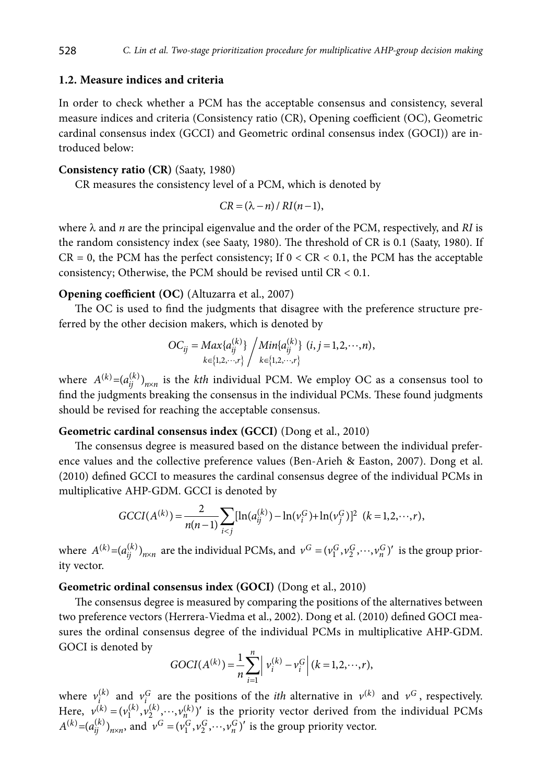#### **1.2. Measure indices and criteria**

In order to check whether a PCM has the acceptable consensus and consistency, several measure indices and criteria (Consistency ratio (CR), Opening coefficient (OC), Geometric cardinal consensus index (GCCI) and Geometric ordinal consensus index (GOCI)) are introduced below:

#### **Consistency ratio (CR)** (Saaty, 1980)

CR measures the consistency level of a PCM, which is denoted by

$$
CR = (\lambda - n) / RI(n-1),
$$

where  $\lambda$  and *n* are the principal eigenvalue and the order of the PCM, respectively, and *RI* is the random consistency index (see Saaty, 1980). The threshold of CR is 0.1 (Saaty, 1980). If  $CR = 0$ , the PCM has the perfect consistency; If  $0 < CR < 0.1$ , the PCM has the acceptable consistency; Otherwise, the PCM should be revised until CR < 0.1.

# **Opening coefficient (OC)** (Altuzarra et al., 2007)

The OC is used to find the judgments that disagree with the preference structure preferred by the other decision makers, which is denoted by

$$
OC_{ij} = Max\{a_{ij}^{(k)}\} / Min\{a_{ij}^{(k)}\} (i, j = 1, 2, \cdots, n),
$$
  

$$
k \in \{1, 2, \cdots, r\} / k \in \{1, 2, \cdots, r\}
$$

where  $A^{(k)} = (a_{ii}^{(k)})_{n \times n}$  is the *kth* individual PCM. We employ OC as a consensus tool to find the judgments breaking the consensus in the individual PCMs. These found judgments should be revised for reaching the acceptable consensus.

# **Geometric cardinal consensus index (GCCI)** (Dong et al., 2010)

The consensus degree is measured based on the distance between the individual preference values and the collective preference values (Ben-Arieh & Easton, 2007). Dong et al. (2010) defined GCCI to measures the cardinal consensus degree of the individual PCMs in multiplicative AHP-GDM. GCCI is denoted by

$$
GCCI(A^{(k)}) = \frac{2}{n(n-1)} \sum_{i < j} [\ln(a_{ij}^{(k)}) - \ln(v_i^G) + \ln(v_j^G)]^2 \quad (k = 1, 2, \cdots, r),
$$

where  $A^{(k)} = (a_{ij}^{(k)})_{n \times n}$  are the individual PCMs, and  $v^G = (v_1^G, v_2^G, \dots, v_n^G)'$  is the group priority vector.

# **Geometric ordinal consensus index (GOCI)** (Dong et al., 2010)

The consensus degree is measured by comparing the positions of the alternatives between two preference vectors (Herrera-Viedma et al., 2002). Dong et al. (2010) defined GOCI measures the ordinal consensus degree of the individual PCMs in multiplicative AHP-GDM. GOCI is denoted by

$$
GOCI(A^{(k)}) = \frac{1}{n} \sum_{i=1}^{n} \left| v_i^{(k)} - v_i^G \right| (k = 1, 2, \cdots, r),
$$

where  $v_i^{(k)}$  and  $v_i^G$  are the positions of the *ith* alternative in  $v^{(k)}$  and  $v^G$ , respectively. Here,  $v^{(k)} = (v_1^{(k)}, v_2^{(k)}, \dots, v_n^{(k)})'$  is the priority vector derived from the individual PCMs  $A^{(k)} = (a_{ii}^{(k)})_{n \times n}$ , and  $v^G = (v_1^G, v_2^G, \dots, v_n^G)'$  is the group priority vector.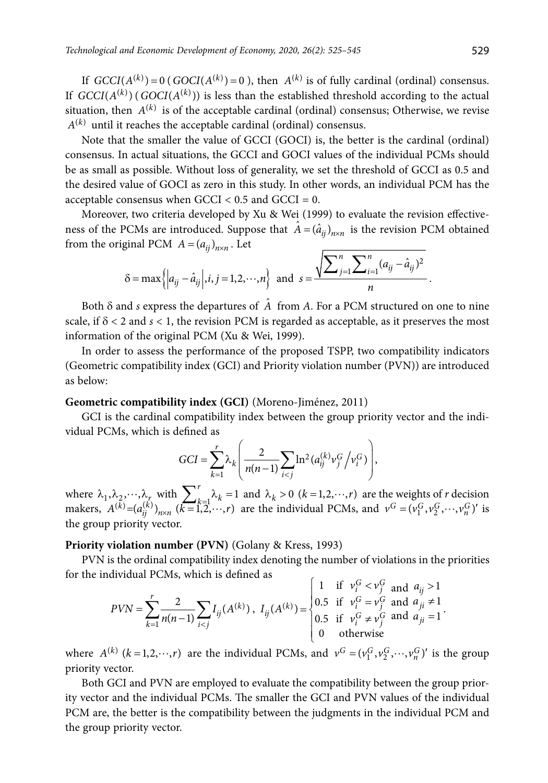If  $GCCI(A^{(k)}) = 0$  ( $GOCI(A^{(k)}) = 0$ ), then  $A^{(k)}$  is of fully cardinal (ordinal) consensus. If  $GCCI(A^{(k)})$  ( $GOCI(A^{(k)})$ ) is less than the established threshold according to the actual situation, then  $A^{(k)}$  is of the acceptable cardinal (ordinal) consensus; Otherwise, we revise  $A^{(k)}$  until it reaches the acceptable cardinal (ordinal) consensus.

Note that the smaller the value of GCCI (GOCI) is, the better is the cardinal (ordinal) consensus. In actual situations, the GCCI and GOCI values of the individual PCMs should be as small as possible. Without loss of generality, we set the threshold of GCCI as 0.5 and the desired value of GOCI as zero in this study. In other words, an individual PCM has the acceptable consensus when  $GCCI < 0.5$  and  $GCCI = 0$ .

Moreover, two criteria developed by Xu & Wei (1999) to evaluate the revision effectiveness of the PCMs are introduced. Suppose that  $\hat{A} = (\hat{a}_{ij})_{n \times n}$  is the revision PCM obtained from the original PCM  $A = (a_{ij})_{n \times n}$ . Let

$$
\delta = \max \left\{ \left| a_{ij} - \hat{a}_{ij} \right|, i, j = 1, 2, \cdots, n \right\} \text{ and } s = \frac{\sqrt{\sum_{j=1}^{n} \sum_{i=1}^{n} (a_{ij} - \hat{a}_{ij})^2}}{n}.
$$

Both  $\delta$  and *s* express the departures of  $\hat{A}$  from *A*. For a PCM structured on one to nine scale, if  $\delta$  < 2 and  $s$  < 1, the revision PCM is regarded as acceptable, as it preserves the most information of the original PCM (Xu & Wei, 1999).

In order to assess the performance of the proposed TSPP, two compatibility indicators (Geometric compatibility index (GCI) and Priority violation number (PVN)) are introduced as below:

# **Geometric compatibility index (GCI)** (Moreno-Jiménez, 2011)

GCI is the cardinal compatibility index between the group priority vector and the individual PCMs, which is defined as

$$
GCI = \sum_{k=1}^{r} \lambda_k \left( \frac{2}{n(n-1)} \sum_{i < j} \ln^2(a_{ij}^{(k)} \nu_j^G / \nu_i^G) \right),
$$

where  $\lambda_1, \lambda_2, \dots, \lambda_r$  with  $\sum_{k=1}^r \lambda_k = 1$  and  $\lambda_k > 0$   $(k = 1, 2, \dots, r)$  are the weights of *r* decision makers,  $A^{(k)} = (a_{ij}^{(k)})_{n \times n}$   $(k = 1, 2, \dots, r)$  are the individual PCMs, and  $v^G = (v_1^G, v_2^G, \dots, v_n^G)'$  is the group priority vector.

#### **Priority violation number (PVN)** (Golany & Kress, 1993)

PVN is the ordinal compatibility index denoting the number of violations in the priorities for the individual PCMs, which is defined as

$$
PVN = \sum_{k=1}^{r} \frac{2}{n(n-1)} \sum_{i < j} I_{ij}(A^{(k)}) \, , \, I_{ij}(A^{(k)}) = \begin{cases} 1 & \text{if } v_i^G < v_j^G \text{ and } a_{ij} > 1 \\ 0.5 & \text{if } v_i^G = v_j^G \text{ and } a_{ji} \neq 1 \\ 0.5 & \text{if } v_i^G \neq v_j^G \text{ and } a_{ji} = 1 \\ 0 & \text{otherwise} \end{cases}
$$

where  $A^{(k)}$   $(k = 1, 2, \dots, r)$  are the individual PCMs, and  $v^G = (v_1^G, v_2^G, \dots, v_n^G)'$  is the group priority vector.

Both GCI and PVN are employed to evaluate the compatibility between the group priority vector and the individual PCMs. The smaller the GCI and PVN values of the individual PCM are, the better is the compatibility between the judgments in the individual PCM and the group priority vector.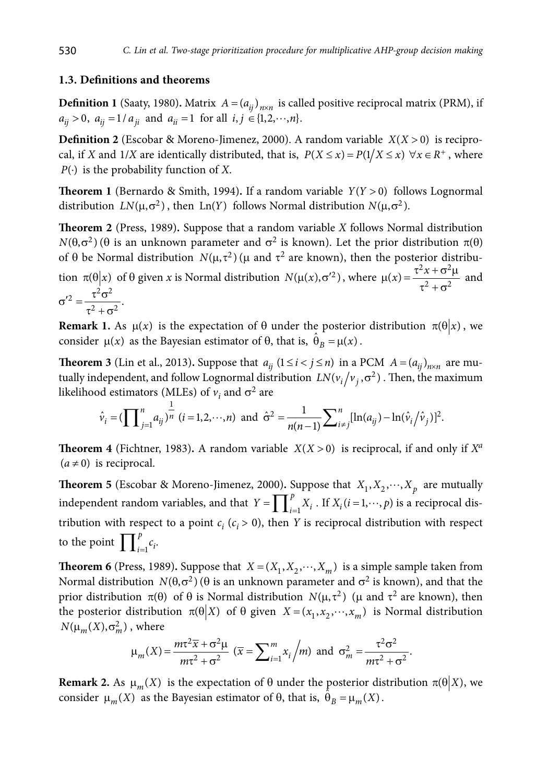# **1.3. Definitions and theorems**

**Definition 1** (Saaty, 1980). Matrix  $A = (a_{ij})_{n \times n}$  is called positive reciprocal matrix (PRM), if  $a_{ij} > 0$ ,  $a_{ij} = 1/a_{ji}$  and  $a_{ii} = 1$  for all  $i, j \in \{1, 2, \dots, n\}$ .

**Definition 2** (Escobar & Moreno-Jimenez, 2000). A random variable  $X(X > 0)$  is reciprocal, if *X* and 1/*X* are identically distributed, that is,  $P(X \le x) = P(1/X \le x) \,\forall x \in R^+$ , where *P*(⋅) is the probability function of *X*.

**Theorem 1** (Bernardo & Smith, 1994). If a random variable  $Y(Y > 0)$  follows Lognormal distribution  $LN(\mu, \sigma^2)$ , then Ln(Y) follows Normal distribution  $N(\mu, \sigma^2)$ .

**Theorem 2** (Press, 1989)**.** Suppose that a random variable *X* follows Normal distribution  $N(\theta, \sigma^2)$  ( $\theta$  is an unknown parameter and  $\sigma^2$  is known). Let the prior distribution  $\pi(\theta)$ of  $\theta$  be Normal distribution  $N(\mu, \tau^2)$  ( $\mu$  and  $\tau^2$  are known), then the posterior distribution  $\pi(\theta | x)$  of  $\theta$  given *x* is Normal distribution  $N(\mu(x), \sigma^2)$ , where  $\mu(x) = \frac{\tau^2 x + \sigma^2 \mu}{\tau^2 + \sigma^2}$  and  $^{2}$  $\sigma^{2}$  $\tau^2 \sigma$ 

$$
\sigma'^2 = \frac{\tau^2 \sigma^2}{\tau^2 + \sigma^2}.
$$

**Remark 1.** As  $\mu(x)$  is the expectation of  $\theta$  under the posterior distribution  $\pi(\theta|x)$ , we consider  $\mu(x)$  as the Bayesian estimator of  $\theta$ , that is,  $\hat{\theta}_B = \mu(x)$ .

**Theorem 3** (Lin et al., 2013). Suppose that  $a_{ij}$  ( $1 \le i < j \le n$ ) in a PCM  $A = (a_{ij})_{n \times n}$  are mutually independent, and follow Lognormal distribution  $LN(v_i/v_j, \sigma^2)$ . Then, the maximum likelihood estimators (MLEs) of  $v_i$  and  $\sigma^2$  are

$$
\hat{v}_i = (\prod_{j=1}^n a_{ij})^{\frac{1}{n}} (i = 1, 2, \cdots, n)
$$
 and  $\hat{\sigma}^2 = \frac{1}{n(n-1)} \sum_{i \neq j}^n [\ln(a_{ij}) - \ln(\hat{v}_i/\hat{v}_j)]^2$ .

**Theorem 4** (Fichtner, 1983). A random variable  $X(X > 0)$  is reciprocal, if and only if  $X^a$  $(a \neq 0)$  is reciprocal.

**Theorem 5** (Escobar & Moreno-Jimenez, 2000). Suppose that  $X_1, X_2, \dots, X_p$  are mutually independent random variables, and that  $Y = \prod_{i=1}^{p}$  $Y = \prod_{i=1}^{p} X_i$ . If  $X_i$  (*i* = 1,  $\cdots$ , *p*) is a reciprocal distribution with respect to a point  $c_i$  ( $c_i$  > 0), then *Y* is reciprocal distribution with respect to the point  $\prod_{i=1}^{p}$  $\prod_{i=1}^p c_i$ .

**Theorem 6** (Press, 1989). Suppose that  $X = (X_1, X_2, \dots, X_m)$  is a simple sample taken from Normal distribution  $N(\theta, \sigma^2)$  ( $\theta$  is an unknown parameter and  $\sigma^2$  is known), and that the prior distribution  $\pi(\theta)$  of  $\theta$  is Normal distribution  $N(\mu, \tau^2)$  ( $\mu$  and  $\tau^2$  are known), then the posterior distribution  $\pi(\theta | X)$  of  $\theta$  given  $X = (x_1, x_2, \dots, x_m)$  is Normal distribution  $N(\mu_m(X), \sigma_m^2)$ , where

$$
\mu_m(X) = \frac{m\tau^2 \overline{x} + \sigma^2 \mu}{m\tau^2 + \sigma^2} \left( \overline{x} = \sum_{i=1}^m x_i \Big/ m \right) \text{ and } \sigma_m^2 = \frac{\tau^2 \sigma^2}{m\tau^2 + \sigma^2}.
$$

**Remark 2.** As  $\mu_m(X)$  is the expectation of  $\theta$  under the posterior distribution  $\pi(\theta|X)$ , we consider  $\mu_m(X)$  as the Bayesian estimator of  $\theta$ , that is,  $\hat{\theta}_B = \mu_m(X)$ .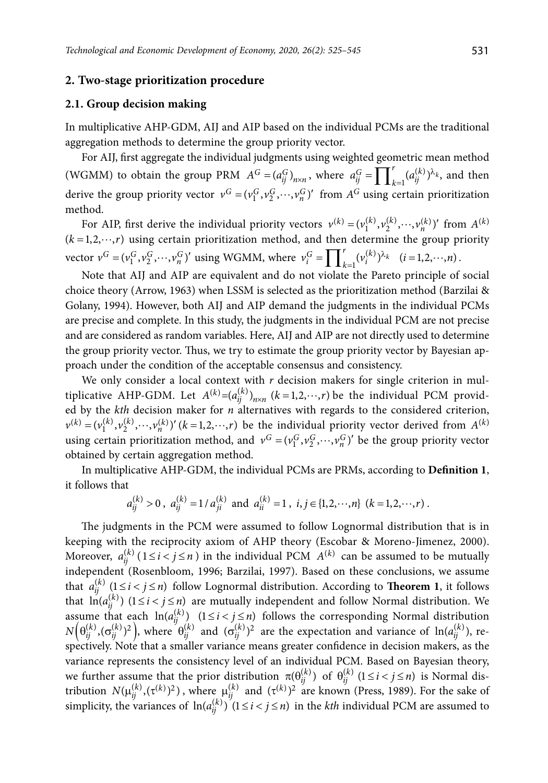#### **2. Two-stage prioritization procedure**

#### **2.1. Group decision making**

In multiplicative AHP-GDM, AIJ and AIP based on the individual PCMs are the traditional aggregation methods to determine the group priority vector.

For AIJ, first aggregate the individual judgments using weighted geometric mean method (WGMM) to obtain the group PRM  $A^G = (a_{ij}^G)_{n \times n}$ , where  $a_{ij}^G = \prod_{k=1}^r (a_{ij}^{(k)})^{\lambda_k}$ , and then derive the group priority vector  $v^G = (v_1^G, v_2^G, \dots, v_n^G)'$  from  $A^G$  using certain prioritization method.

For AIP, first derive the individual priority vectors  $v^{(k)} = (v_1^{(k)}, v_2^{(k)}, \dots, v_n^{(k)})'$  from  $A^{(k)}$  $(k = 1, 2, \dots, r)$  using certain prioritization method, and then determine the group priority vector  $v^G = (v_1^G, v_2^G, \dots, v_n^G)'$  using WGMM, where  $v_i^G = \prod_{k=1}^r (v_i^{(k)})^{\lambda_k}$   $(i = 1, 2, \dots, n)$ .

Note that AIJ and AIP are equivalent and do not violate the Pareto principle of social choice theory (Arrow, 1963) when LSSM is selected as the prioritization method (Barzilai & Golany, 1994). However, both AIJ and AIP demand the judgments in the individual PCMs are precise and complete. In this study, the judgments in the individual PCM are not precise and are considered as random variables. Here, AIJ and AIP are not directly used to determine the group priority vector. Thus, we try to estimate the group priority vector by Bayesian approach under the condition of the acceptable consensus and consistency.

We only consider a local context with  $r$  decision makers for single criterion in multiplicative AHP-GDM. Let  $A^{(k)} = (a_{ij}^{(k)})_{n \times n}$   $(k = 1, 2, \dots, r)$  be the individual PCM provided by the *kth* decision maker for *n* alternatives with regards to the considered criterion,  $v^{(k)} = (v_1^{(k)}, v_2^{(k)}, \dots, v_n^{(k)})'$   $(k = 1, 2, \dots, r)$  be the individual priority vector derived from  $A^{(k)}$ using certain prioritization method, and  $v^G = (v_1^G, v_2^G, \dots, v_n^G)'$  be the group priority vector obtained by certain aggregation method.

In multiplicative AHP-GDM, the individual PCMs are PRMs, according to **Definition 1**, it follows that

$$
a_{ij}^{(k)} > 0
$$
,  $a_{ij}^{(k)} = 1/a_{ji}^{(k)}$  and  $a_{ii}^{(k)} = 1$ ,  $i, j \in \{1, 2, \dots, n\}$   $(k = 1, 2, \dots, r)$ .

The judgments in the PCM were assumed to follow Lognormal distribution that is in keeping with the reciprocity axiom of AHP theory (Escobar & Moreno-Jimenez, 2000). Moreover,  $a_{ij}^{(k)}$  ( $1 \le i < j \le n$ ) in the individual PCM  $A^{(k)}$  can be assumed to be mutually independent (Rosenbloom, 1996; Barzilai, 1997). Based on these conclusions, we assume that  $a_{ij}^{(k)}$   $(1 \le i < j \le n)$  follow Lognormal distribution. According to **Theorem 1**, it follows that  $\ln(a_{ij}^{(k)})$   $(1 \le i < j \le n)$  are mutually independent and follow Normal distribution. We assume that each  $\ln(a_{ij}^{(k)})$   $(1 \le i < j \le n)$  follows the corresponding Normal distribution  $N\Big(\theta_{ij}^{(k)}, (\sigma_{ij}^{(k)})^2\Big)$ , where  $\theta_{ij}^{(k)}$  and  $(\sigma_{ij}^{(k)})^2$  are the expectation and variance of  $\ln(a_{ij}^{(k)}),$  respectively. Note that a smaller variance means greater confidence in decision makers, as the variance represents the consistency level of an individual PCM. Based on Bayesian theory, we further assume that the prior distribution  $\pi(\theta_{ij}^{(k)})$  of  $\theta_{ij}^{(k)}$  ( $1 \le i < j \le n$ ) is Normal distribution  $N(\mu_{ij}^{(k)}, (\tau^{(k)})^2)$ , where  $\mu_{ij}^{(k)}$  and  $(\tau^{(k)})^2$  are known (Press, 1989). For the sake of simplicity, the variances of  $\ln(a_{ij}^{(k)})$   $(1 \le i < j \le n)$  in the *kth* individual PCM are assumed to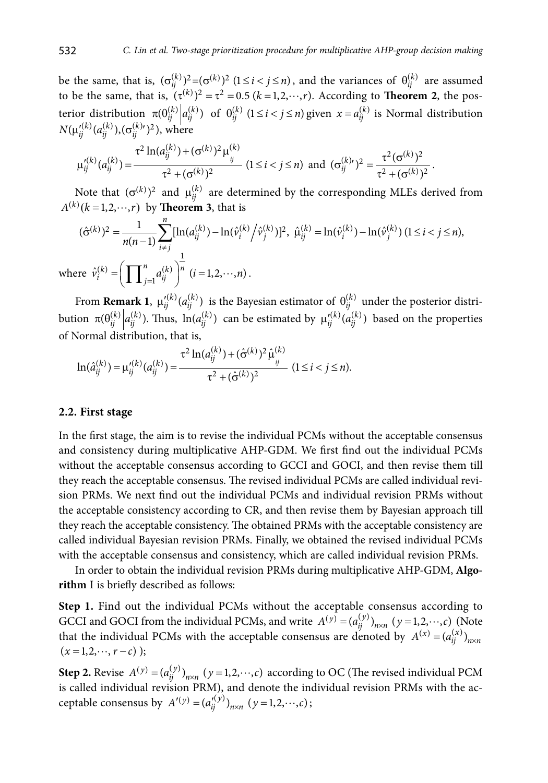be the same, that is,  $(\sigma_{ij}^{(k)})^2 = (\sigma^{(k)})^2$   $(1 \le i < j \le n)$ , and the variances of  $\theta_{ij}^{(k)}$  are assumed to be the same, that is,  $(\tau^{(k)})^2 = \tau^2 = 0.5$   $(k = 1, 2, \dots, r)$ . According to **Theorem 2**, the posterior distribution  $\pi(\theta_{ij}^{(k)} | a_{ij}^{(k)})$  of  $\theta_{ij}^{(k)}$  ( $1 \le i < j \le n$ ) given  $x = a_{ij}^{(k)}$  is Normal distribution  $N(\mu_{ii}^{(k)}(a_{ii}^{(k)}),(\sigma_{ii}^{(k) \prime})^2)$ , where

$$
\mu_{ij}^{\prime(k)}(a_{ij}^{(k)}) = \frac{\tau^2 \ln(a_{ij}^{(k)}) + (\sigma^{(k)})^2 \mu_{ij}^{(k)}}{\tau^2 + (\sigma^{(k)})^2} \ (1 \leq i < j \leq n) \text{ and } (\sigma_{ij}^{(k)\prime})^2 = \frac{\tau^2 (\sigma^{(k)})^2}{\tau^2 + (\sigma^{(k)})^2} \, .
$$

Note that  $(\sigma^{(k)})^2$  and  $\mu_{ij}^{(k)}$  are determined by the corresponding MLEs derived from  $A^{(k)}(k=1,2,\dots,r)$  by **Theorem 3**, that is

$$
(\hat{\sigma}^{(k)})^2 = \frac{1}{n(n-1)} \sum_{i \neq j}^n [\ln(a_{ij}^{(k)}) - \ln(\hat{v}_i^{(k)}/\hat{v}_j^{(k)})]^2, \ \hat{\mu}_{ij}^{(k)} = \ln(\hat{v}_i^{(k)}) - \ln(\hat{v}_j^{(k)}) \ (1 \leq i < j \leq n),
$$
\nwhere  $\hat{v}_i^{(k)} = \left(\prod_{j=1}^n a_{ij}^{(k)}\right)^{\frac{1}{n}}$   $(i = 1, 2, \cdots, n).$ 

From **Remark 1**,  $\mu_{ij}^{\prime(k)}(a_{ij}^{(k)})$  is the Bayesian estimator of  $\theta_{ij}^{(k)}$  under the posterior distribution  $\pi(\theta_{ij}^{(k)} | a_{ij}^{(k)})$ . Thus,  $\ln(a_{ij}^{(k)})$  can be estimated by  $\mu_{ij}^{\prime(k)}(a_{ij}^{(k)})$  based on the properties of Normal distribution, that is,

$$
\ln(\hat{a}_{ij}^{(k)}) = \mu_{ij}^{\prime(k)}(a_{ij}^{(k)}) = \frac{\tau^2 \ln(a_{ij}^{(k)}) + (\hat{\sigma}^{(k)})^2 \hat{\mu}_{ij}^{(k)}}{\tau^2 + (\hat{\sigma}^{(k)})^2} \quad (1 \leq i < j \leq n).
$$

# **2.2. First stage**

In the first stage, the aim is to revise the individual PCMs without the acceptable consensus and consistency during multiplicative AHP-GDM. We first find out the individual PCMs without the acceptable consensus according to GCCI and GOCI, and then revise them till they reach the acceptable consensus. The revised individual PCMs are called individual revision PRMs. We next find out the individual PCMs and individual revision PRMs without the acceptable consistency according to CR, and then revise them by Bayesian approach till they reach the acceptable consistency. The obtained PRMs with the acceptable consistency are called individual Bayesian revision PRMs. Finally, we obtained the revised individual PCMs with the acceptable consensus and consistency, which are called individual revision PRMs.

In order to obtain the individual revision PRMs during multiplicative AHP-GDM, **Algorithm** I is briefly described as follows:

**Step 1.** Find out the individual PCMs without the acceptable consensus according to GCCI and GOCI from the individual PCMs, and write  $A^{(y)} = (a_{ij}^{(y)})_{n \times n}$   $(y = 1, 2, \dots, c)$  (Note that the individual PCMs with the acceptable consensus are denoted by  $A^{(x)} = (a_{ii}^{(x)})_{n \times n}$  $(x = 1,2,\dots, r-c)$  );

**Step 2.** Revise  $A^{(y)} = (a_{ij}^{(y)})_{n \times n}$   $(y = 1, 2, \dots, c)$  according to OC (The revised individual PCM is called individual revision PRM), and denote the individual revision PRMs with the acceptable consensus by  $A'(y) = (a_{ij}^{y/})_{n \times n} (y = 1, 2, \dots, c)$ ;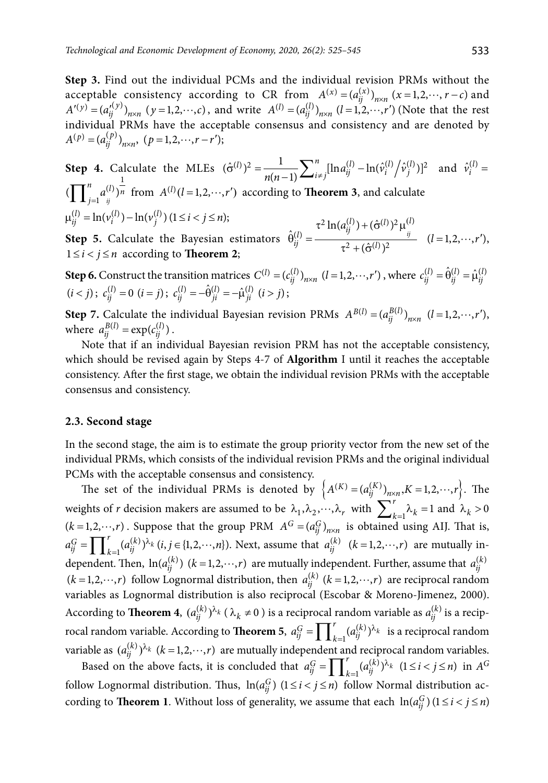**Step 3.** Find out the individual PCMs and the individual revision PRMs without the acceptable consistency according to CR from  $A^{(x)} = (a_{ii}^{(x)})_{n \times n}$   $(x = 1, 2, \dots, r - c)$  and  $(A'(y) = (a_{ij}^{(y)})_{n \times n}$   $(y = 1, 2, \dots, c)$ , and write  $A^{(l)} = (a_{ij}^{(l)})_{n \times n}$   $(l = 1, 2, \dots, r')$  (Note that the rest individual PRMs have the acceptable consensus and consistency and are denoted by  $A^{(p)} = (a_{ii}^{(p)})_{n \times n}$ ,  $(p = 1, 2, \dots, r - r')$ ;

**Step 4.** Calculate the MLEs  $(\hat{\sigma}^{(l)})^2 = \frac{1}{n(n-1)} \sum_{i \neq j}^n [\ln a_{ij}^{(l)} - \ln(\hat{v}_i^{(l)}/\hat{v}_j^{(l)})]^2$ *i*  $\int_{1}^{1} \text{d} \lambda \, d\theta$   $\int_{1}^{1} \text{d} \lambda \, d\theta$   $\int_{1}^{1} \text{d} \lambda \, d\theta$   $\int_{1}^{1} \text{d} \lambda \, d\theta$   $\int_{1}^{1} \text{d} \lambda \, d\theta$   $\int_{1}^{1} \text{d} \lambda \, d\theta$   $\int_{1}^{1} \text{d} \lambda \, d\theta$   $\int_{1}^{1} \text{d} \lambda \, d\theta$   $\int_{1}^{1} \text{d} \lambda \, d\theta$   $\int_{1}^{1} \$  $(\prod_{j=1}^{n} a_{ij}^{(l)})^{\frac{1}{n}}$  from  $A^{(l)}(l=1,2,\dots,r')$  according to **Theorem 3**, and calculate  $\mu_{ij}^{(l)} = \ln(\nu_i^{(l)}) - \ln(\nu_j^{(l)}) (1 \le i < j \le n);$  $^{(2)}$  ln(a<sup>(l)</sup>) + ( $\hat{\sigma}^{(l)}$ )<sup>2</sup> u<sup>(l)</sup>

**Step 5.** Calculate the Bayesian estimators  $\left( l\right)$  $\hat{\theta}_{ij}^{(l)} = \frac{\tau^2 \ln(a_{ij}^{(l)}) + (\hat{\sigma}^{(l)})}{\tau^2 + (\hat{\sigma}^{(l)})^2}$  $\left( \hat{\sigma}^{(l)} \right)$ *ij l*)  $-\frac{\tau^2 \ln(a_{ij}^{(l)})+(\hat{\sigma}^{(l)})^2 \mu_{ij}^{(l)}}{2\pi i}$  $\frac{1}{i}$ *j*  $-\frac{1}{\tau^2 + (\hat{\sigma}^{(i)})^2}$  $\tau^2 \ln(a_{ii}^{(l)}) + (\hat{\sigma}^{(l)})^2 \mu$  $\theta_{ii}^{(l)} =$  $\frac{y}{\tau^2 + (\hat{\sigma}^{(l)})^2}$   $(l = 1, 2, \dots, r'),$  $1 \leq i < j \leq n$  according to **Theorem 2**;

**Step 6.** Construct the transition matrices  $C^{(l)} = (c_{ij}^{(l)})_{n \times n}$   $(l = 1, 2, \dots, r')$ , where  $c_{ij}^{(l)} = \hat{\theta}_{ij}^{(l)} = \hat{\mu}_{ij}^{(l)}$  $(i < j)$ ;  $c_{ij}^{(l)} = 0$   $(i = j)$ ;  $c_{ij}^{(l)} = -\hat{\theta}_{ji}^{(l)} = -\hat{\mu}_{ji}^{(l)}$   $(i > j)$ ;

**Step 7.** Calculate the individual Bayesian revision PRMs  $A^{B(l)} = (a_{ii}^{B(l)})_{n \times n}$   $(l = 1, 2, \dots, r')$ , where  $a_{ij}^{B(l)} = \exp(c_{ij}^{(l)})$ .

Note that if an individual Bayesian revision PRM has not the acceptable consistency, which should be revised again by Steps 4-7 of **Algorithm** I until it reaches the acceptable consistency. After the first stage, we obtain the individual revision PRMs with the acceptable consensus and consistency.

# **2.3. Second stage**

In the second stage, the aim is to estimate the group priority vector from the new set of the individual PRMs, which consists of the individual revision PRMs and the original individual PCMs with the acceptable consensus and consistency.

The set of the individual PRMs is denoted by  $\left\{ A^{(K)} = (a_{ij}^{(K)})_{n \times n}, K = 1, 2, \dots, r \right\}$ . The weights of *r* decision makers are assumed to be  $\lambda_1, \lambda_2, \dots, \lambda_r$  with  $\sum_{k=1}^r \lambda_k = 1$  and  $\lambda_k > 0$  $(k = 1,2, \dots, r)$ . Suppose that the group PRM  $A^G = (a_{ij}^G)_{n \times n}$  is obtained using AIJ. That is,  $(k)$  $a_{ij}^G = \prod_{k=1}^r (a_{ij}^{(k)})^{\lambda_k} (i, j \in \{1, 2, \dots, n\})$ . Next, assume that  $a_{ij}^{(k)}$   $(k = 1, 2, \dots, r)$  are mutually independent. Then,  $\ln(a_{ij}^{(k)})$   $(k = 1, 2, \dots, r)$  are mutually independent. Further, assume that  $a_{ij}^{(k)}$  $(k = 1, 2, \dots, r)$  follow Lognormal distribution, then  $a_{ij}^{(k)}$   $(k = 1, 2, \dots, r)$  are reciprocal random variables as Lognormal distribution is also reciprocal (Escobar & Moreno-Jimenez, 2000). According to **Theorem 4**,  $(a_{ij}^{(k)})^{\lambda_k}$  ( $\lambda_k \neq 0$ ) is a reciprocal random variable as  $a_{ij}^{(k)}$  is a reciprocal random variable. According to **Theorem 5**,  $a_{ij}^G = \prod_{k=1}^r (a_{ij}^{(k)})^{\lambda_k}$  is a reciprocal random variable as  $(a_{ij}^{(k)})^{\lambda_k}$   $(k = 1, 2, \dots, r)$  are mutually independent and reciprocal random variables.

Based on the above facts, it is concluded that  $a_{ij}^G = \prod_{k=1}^r (a_{ij}^{(k)})^{\lambda_k}$   $(1 \le i < j \le n)$  in  $A^G$ follow Lognormal distribution. Thus,  $\ln(a_{ij}^G)$   $(1 \leq i < j \leq n)$  follow Normal distribution according to **Theorem 1**. Without loss of generality, we assume that each  $\ln(a_{ij}^G)(1 \le i < j \le n)$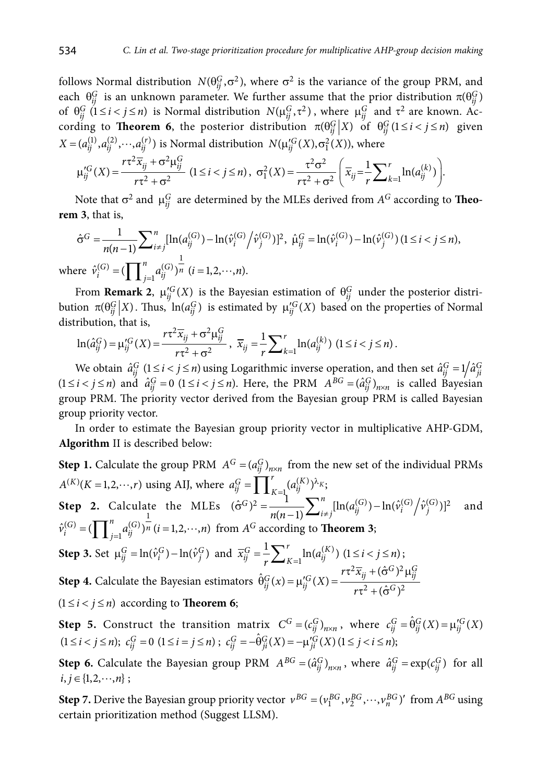follows Normal distribution  $N(\theta_{ii}^G, \sigma^2)$ , where  $\sigma^2$  is the variance of the group PRM, and each  $\theta_{ij}^G$  is an unknown parameter. We further assume that the prior distribution  $\pi(\theta_{ij}^G)$ of  $\theta_{ij}^G$  (1  $\le i < j \le n$ ) is Normal distribution  $N(\mu_{ij}^G, \tau^2)$ , where  $\mu_{ij}^G$  and  $\tau^2$  are known. According to **Theorem 6**, the posterior distribution  $\pi(\theta_{ij}^G|X)$  of  $\theta_{ij}^G(1 \le i < j \le n)$  given  $X = (a_{ij}^{(1)}, a_{ij}^{(2)}, \cdots, a_{ij}^{(r)})$  is Normal distribution  $N(\mu_{ij}^{\prime G}(X), \sigma_1^2(X))$ , where

$$
\mu_{ij}^{\prime G}(X) = \frac{r\tau^2 \overline{x}_{ij} + \sigma^2 \mu_{ij}^G}{r\tau^2 + \sigma^2} \ (1 \leq i < j \leq n), \ \sigma_1^2(X) = \frac{\tau^2 \sigma^2}{r\tau^2 + \sigma^2} \left( \overline{x}_{ij} = \frac{1}{r} \sum_{k=1}^r \ln(a_{ij}^{(k)}) \right).
$$

Note that  $\sigma^2$  and  $\mu_{ii}^G$  are determined by the MLEs derived from  $A^G$  according to **Theorem 3**, that is,

$$
\hat{\sigma}^G = \frac{1}{n(n-1)} \sum_{i \neq j}^n [\ln(a_{ij}^{(G)}) - \ln(\hat{v}_i^{(G)}/\hat{v}_j^{(G)})]^2, \ \hat{\mu}_{ij}^G = \ln(\hat{v}_i^{(G)}) - \ln(\hat{v}_j^{(G)}) \ (1 \leq i < j \leq n),
$$
\nwhere  $\hat{v}_i^{(G)} = (\prod_{j=1}^n a_{ij}^{(G)})^{\frac{1}{n}}$   $(i = 1, 2, \cdots, n).$ 

From **Remark 2**,  $\mu_{ij}^{G}(X)$  is the Bayesian estimation of  $\theta_{ij}^{G}$  under the posterior distribution  $\pi(\theta_{ij}^G|X)$ . Thus,  $\ln(a_{ij}^G)$  is estimated by  $\mu_{ij}^G(X)$  based on the properties of Normal distribution, that is,

$$
\ln(\hat{a}_{ij}^G) = \mu_{ij}^{\prime G}(X) = \frac{r\tau^2 \overline{x}_{ij} + \sigma^2 \mu_{ij}^G}{r\tau^2 + \sigma^2}, \ \ \overline{x}_{ij} = \frac{1}{r} \sum_{k=1}^r \ln(a_{ij}^{(k)}) \ (1 \leq i < j \leq n).
$$

We obtain  $\hat{a}_{ij}^G$  ( $1 \le i < j \le n$ ) using Logarithmic inverse operation, and then set  $\hat{a}_{ij}^G = 1/\hat{a}_{ji}^G$  $(1 \le i < j \le n)$  and  $\hat{a}_{ij}^G = 0$   $(1 \le i < j \le n)$ . Here, the PRM  $A^{BG} = (\hat{a}_{ij}^G)_{n \times n}$  is called Bayesian group PRM. The priority vector derived from the Bayesian group PRM is called Bayesian group priority vector.

In order to estimate the Bayesian group priority vector in multiplicative AHP-GDM, **Algorithm** II is described below:

**Step 1.** Calculate the group PRM  $A^G = (a_{ij}^G)_{n \times n}$  from the new set of the individual PRMs  $A^{(K)}(K=1,2,\dots,r)$  using AIJ, where  $a_{ij}^G = \prod_{K=1}^r (a_{ij}^{(K)})^{\lambda_K};$ **Step 2.** Calculate the MLEs  $(\hat{\sigma}^G)^2 = \frac{1}{n(n-1)} \sum_{i \neq j}^n [\ln(a_{ij}^{(G)}) - \ln(\hat{v}_i^{(G)}/\hat{v}_j^{(G)})]^2$ **Step 2.** Calculate the MLEs  $(\hat{\sigma}^G)^2 = \frac{1}{n(n-1)} \sum_{i \neq j}^n [\ln(a_{ij}^{(G)}) - \ln(\hat{v}_i^{(G)}/\hat{v}_j^{(G)})]^2$  and  $\hat{v}_i^{(G)} = (\prod_{j=1}^n a_{ij}^{(G)})^{\frac{1}{n}} (i = 1, 2, \dots, n)$  from  $A^G$  according to **Theorem 3**; **Step 3.** Set  $\mu_{ij}^G = \ln(\hat{v}_i^G) - \ln(\hat{v}_j^G)$  and  $\overline{x}_{ij}^G = \frac{1}{r} \sum_{K=1}^r \ln(a_{ij}^{(K)}) (1 \le i < j \le n);$ **Step 4.** Calculate the Bayesian estimators  $2\bar{x}_{1} + (\hat{\sigma}^{G})^2$  $\hat{\theta}_{ij}^G(x) = \mu_{ij}^{\prime G}(X) = \frac{r\tau^2 \overline{x}_{ij} + (\hat{\sigma}^G)^2 \mu_{ij}^G}{r\tau^2 + (\hat{\sigma}^G)^2}$ *ij*  $(x) - \mu_{ij}$   $(\Lambda) - \frac{r\tau^2 + (\hat{\sigma}^G)}{r\tau^2 + (\hat{\sigma}^G)}$  $r\tau^2\overline{x}$  $x) = \mu_{ii}^{\prime G}(X)$  $\hat{\theta}_{ij}^G(x) = \mu_{ij}^{\prime G}(X) = \frac{r\tau^2 \overline{x}_{ij} + (\hat{\sigma}^G)^2 \mu}{r\tau^2 + (\hat{\sigma}^G)^2}$ 

 $(1 \le i < j \le n)$  according to **Theorem 6**;

**Step 5.** Construct the transition matrix  $C^G = (c_{ij}^G)_{n \times n}$ , where  $c_{ij}^G = \hat{\theta}_{ij}^G(X) = \mu_{ij}^G(X)$  $(1 \leq i < j \leq n);$   $c_{ij}^G = 0$   $(1 \leq i = j \leq n);$   $c_{ij}^G = -\hat{\theta}_{ji}^G(X) = -\mu_{ji}^{'G}(X)$   $(1 \leq j < i \leq n);$ 

**Step 6.** Calculate the Bayesian group PRM  $A^{BG} = (\hat{a}_{ij}^G)_{n \times n}$ , where  $\hat{a}_{ij}^G = \exp(c_{ij}^G)$  for all  $i, j \in \{1, 2, \cdots, n\}$ ;

**Step 7.** Derive the Bayesian group priority vector  $v^{BG} = (v_1^{BG}, v_2^{BG}, \dots, v_n^{BG})'$  from  $A^{BG}$  using certain prioritization method (Suggest LLSM).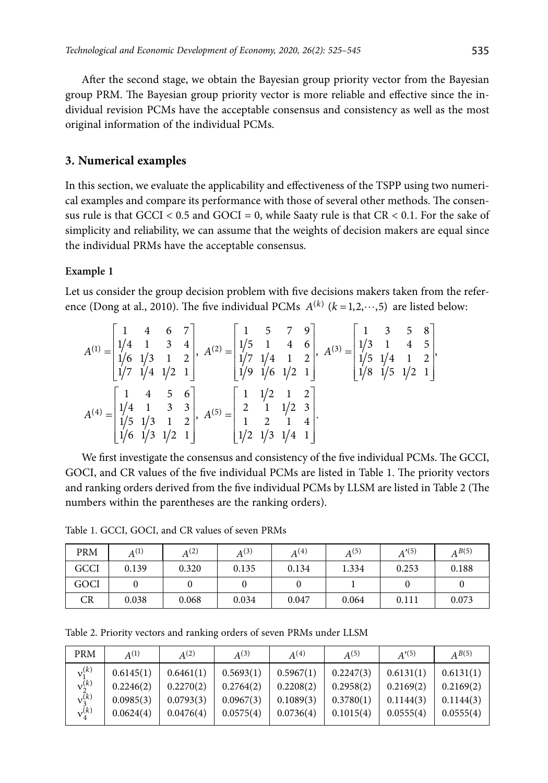After the second stage, we obtain the Bayesian group priority vector from the Bayesian group PRM. The Bayesian group priority vector is more reliable and effective since the individual revision PCMs have the acceptable consensus and consistency as well as the most original information of the individual PCMs.

# **3. Numerical examples**

In this section, we evaluate the applicability and effectiveness of the TSPP using two numerical examples and compare its performance with those of several other methods. The consensus rule is that  $GCCI < 0.5$  and  $GOCI = 0$ , while Saaty rule is that  $CR < 0.1$ . For the sake of simplicity and reliability, we can assume that the weights of decision makers are equal since the individual PRMs have the acceptable consensus.

# **Example 1**

Let us consider the group decision problem with five decisions makers taken from the reference (Dong at al., 2010). The five individual PCMs  $A^{(k)}$  ( $k = 1, 2, \dots, 5$ ) are listed below:

$$
A^{(1)} = \begin{bmatrix} 1 & 4 & 6 & 7 \\ 1/4 & 1 & 3 & 4 \\ 1/6 & 1/3 & 1 & 2 \\ 1/7 & 1/4 & 1/2 & 1 \end{bmatrix}, A^{(2)} = \begin{bmatrix} 1 & 5 & 7 & 9 \\ 1/5 & 1 & 4 & 6 \\ 1/7 & 1/4 & 1 & 2 \\ 1/9 & 1/6 & 1/2 & 1 \end{bmatrix}, A^{(3)} = \begin{bmatrix} 1 & 3 & 5 & 8 \\ 1/3 & 1 & 4 & 5 \\ 1/5 & 1/4 & 1 & 2 \\ 1/8 & 1/5 & 1/2 & 1 \end{bmatrix}
$$
  

$$
A^{(4)} = \begin{bmatrix} 1 & 4 & 5 & 6 \\ 1/4 & 1 & 3 & 3 \\ 1/5 & 1/3 & 1 & 2 \\ 1/6 & 1/3 & 1/2 & 1 \end{bmatrix}, A^{(5)} = \begin{bmatrix} 1 & 1/2 & 1 & 2 \\ 2 & 1 & 1/2 & 3 \\ 1 & 2 & 1 & 4 \\ 1/2 & 1/3 & 1/4 & 1 \end{bmatrix}.
$$

We first investigate the consensus and consistency of the five individual PCMs. The GCCI, GOCI, and CR values of the five individual PCMs are listed in Table 1. The priority vectors and ranking orders derived from the five individual PCMs by LLSM are listed in Table 2 (The numbers within the parentheses are the ranking orders).

| <b>PRM</b> | $A^{(1)}$ | $A^{(2)}$ | $A^{(3)}$ | $A^{(4)}$ | $A^{(5)}$ | A'(5) | $A^{B(5)}$ |
|------------|-----------|-----------|-----------|-----------|-----------|-------|------------|
| GCCI       | 0.139     | 0.320     | 0.135     | 0.134     | 1.334     | 0.253 | 0.188      |
| GOCI       |           |           |           |           |           |       |            |
| CR         | 0.038     | 0.068     | 0.034     | 0.047     | 0.064     | 0.111 | 0.073      |

Table 1. GCCI, GOCI, and CR values of seven PRMs

Table 2. Priority vectors and ranking orders of seven PRMs under LLSM

| <b>PRM</b>           | $A^{(1)}$ | $A^{(2)}$ | $A^{(3)}$ | $A^{(4)}$ | $A^{(5)}$ | A'(5)     | $A^{B(5)}$ |
|----------------------|-----------|-----------|-----------|-----------|-----------|-----------|------------|
| $v_1^{(k)}$          | 0.6145(1) | 0.6461(1) | 0.5693(1) | 0.5967(1) | 0.2247(3) | 0.6131(1) | 0.6131(1)  |
| $v_2^{(k)}$          | 0.2246(2) | 0.2270(2) | 0.2764(2) | 0.2208(2) | 0.2958(2) | 0.2169(2) | 0.2169(2)  |
| $v_3^{\overline{k}}$ | 0.0985(3) | 0.0793(3) | 0.0967(3) | 0.1089(3) | 0.3780(1) | 0.1144(3) | 0.1144(3)  |
| $v_4^{(k)}$          | 0.0624(4) | 0.0476(4) | 0.0575(4) | 0.0736(4) | 0.1015(4) | 0.0555(4) | 0.0555(4)  |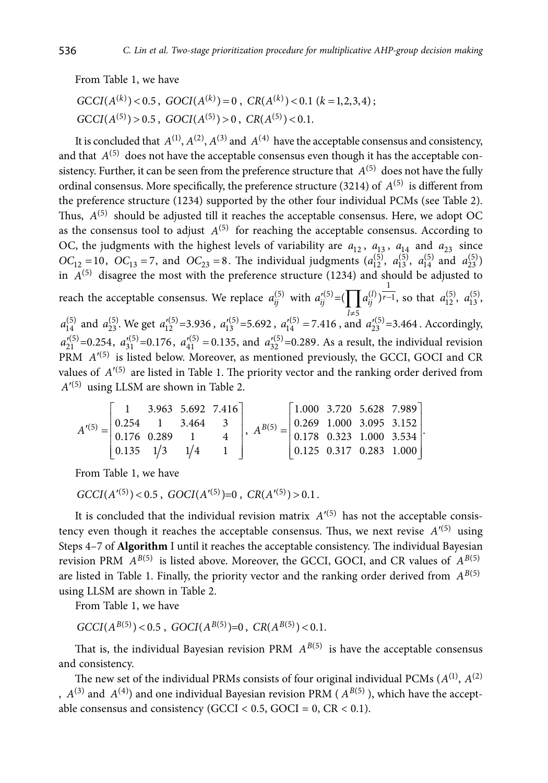From Table 1, we have

$$
GCCI(A^{(k)}) < 0.5, \, GOCI(A^{(k)}) = 0, \, CR(A^{(k)}) < 0.1 \, (k = 1, 2, 3, 4); \, \text{GCCI}(A^{(5)}) > 0.5, \, GOCI(A^{(5)}) > 0, \, CR(A^{(5)}) < 0.1.
$$

It is concluded that  $A^{(1)}$ ,  $A^{(2)}$ ,  $A^{(3)}$  and  $A^{(4)}$  have the acceptable consensus and consistency, and that  $A^{(5)}$  does not have the acceptable consensus even though it has the acceptable consistency. Further, it can be seen from the preference structure that  $A^{(5)}$  does not have the fully ordinal consensus. More specifically, the preference structure (3214) of  $A^{(5)}$  is different from the preference structure (1234) supported by the other four individual PCMs (see Table 2). Thus,  $A^{(5)}$  should be adjusted till it reaches the acceptable consensus. Here, we adopt OC as the consensus tool to adjust  $A^{(5)}$  for reaching the acceptable consensus. According to OC, the judgments with the highest levels of variability are  $a_{12}$ ,  $a_{13}$ ,  $a_{14}$  and  $a_{23}$  since  $OC_{12} = 10$ ,  $OC_{13} = 7$ , and  $OC_{23} = 8$ . The individual judgments  $(a_{12}^{(5)}, a_{13}^{(5)}, a_{14}^{(5)}$  and  $a_{23}^{(5)}$ ) in  $A^{(5)}$  disagree the most with the preference structure (1234) and should be adjusted to reach the acceptable consensus. We replace  $a_{ij}^{(5)}$  with  $a_{ij}^{\prime(5)} = (\prod a_{ij}^{(l)})^{\frac{1}{r-1}}$ , so that  $a_{12}^{(5)}$ ,  $a_{13}^{(5)}$ ,  $a_{14}^{(5)}$  and  $a_{23}^{(5)}$ . We get  $a_{12}^{(5)} = 3.936$ ,  $a_{13}^{(5)} = 5.692$ ,  $a_{14}^{(5)} = 7.416$ , and  $a_{23}^{(5)} = 3.464$ . Accordingly,  $a'_{21}^{(5)} = 0.254$ ,  $a'_{31}^{(5)} = 0.176$ ,  $a'_{41}^{(5)} = 0.135$ , and  $a'_{32}^{(5)} = 0.289$ . As a result, the individual revision PRM  $A<sup>'(5)</sup>$  is listed below. Moreover, as mentioned previously, the GCCI, GOCI and CR values of  $A'^{(5)}$  are listed in Table 1. The priority vector and the ranking order derived from  $A^{\prime(5)}$  using LLSM are shown in Table 2.

$$
A'^{(5)} = \begin{bmatrix} 1 & 3.963 & 5.692 & 7.416 \\ 0.254 & 1 & 3.464 & 3 \\ 0.176 & 0.289 & 1 & 4 \\ 0.135 & 1/3 & 1/4 & 1 \end{bmatrix}, A^{B(5)} = \begin{bmatrix} 1.000 & 3.720 & 5.628 & 7.989 \\ 0.269 & 1.000 & 3.095 & 3.152 \\ 0.178 & 0.323 & 1.000 & 3.534 \\ 0.125 & 0.317 & 0.283 & 1.000 \end{bmatrix}.
$$

From Table 1, we have

 $GCCI(A^{\prime(5)})$  < 0.5,  $GOCI(A^{\prime(5)})$  = 0,  $CR(A^{\prime(5)})$  > 0.1.

It is concluded that the individual revision matrix  $A<sup>(5)</sup>$  has not the acceptable consistency even though it reaches the acceptable consensus. Thus, we next revise  $A'^{(5)}$  using Steps 4–7 of **Algorithm** I until it reaches the acceptable consistency. The individual Bayesian revision PRM  $A^{B(5)}$  is listed above. Moreover, the GCCI, GOCI, and CR values of  $A^{B(5)}$ are listed in Table 1. Finally, the priority vector and the ranking order derived from  $A^{B(5)}$ using LLSM are shown in Table 2.

From Table 1, we have

$$
GCCI(A^{B(5)})
$$
 < 0.5,  $GOCI(A^{B(5)})$ =0,  $CR(A^{B(5)})$  < 0.1.

That is, the individual Bayesian revision PRM  $A^{B(5)}$  is have the acceptable consensus and consistency.

The new set of the individual PRMs consists of four original individual PCMs  $(A^{(1)}, A^{(2)})$ ,  $A^{(3)}$  and  $A^{(4)}$ ) and one individual Bayesian revision PRM ( $A^{B(5)}$ ), which have the acceptable consensus and consistency (GCCI <  $0.5$ , GOCI =  $0$ , CR <  $0.1$ ).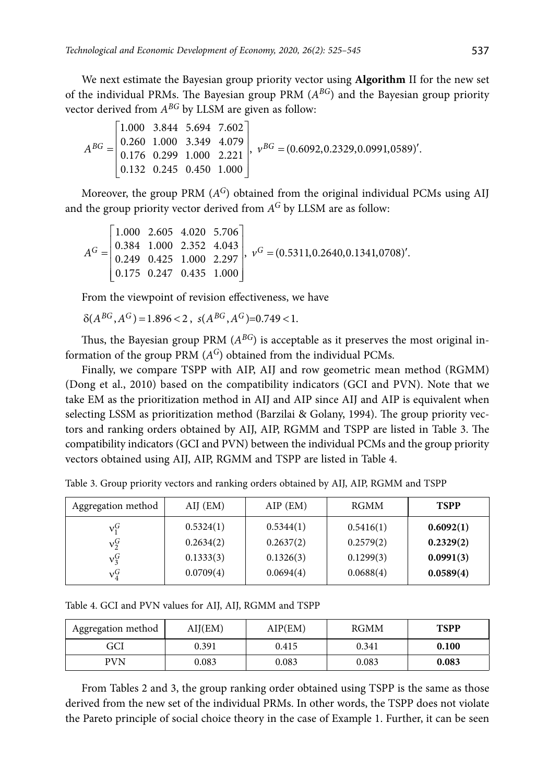We next estimate the Bayesian group priority vector using **Algorithm** II for the new set of the individual PRMs. The Bayesian group PRM (*ABG*) and the Bayesian group priority vector derived from *ABG* by LLSM are given as follow:

$$
A^{BG} = \begin{bmatrix} 1.000 & 3.844 & 5.694 & 7.602 \\ 0.260 & 1.000 & 3.349 & 4.079 \\ 0.176 & 0.299 & 1.000 & 2.221 \\ 0.132 & 0.245 & 0.450 & 1.000 \end{bmatrix}, \ v^{BG} = (0.6092, 0.2329, 0.0991, 0589)'
$$

Moreover, the group PRM (*AG*) obtained from the original individual PCMs using AIJ and the group priority vector derived from *AG* by LLSM are as follow:

$$
AG = \begin{bmatrix} 1.000 & 2.605 & 4.020 & 5.706 \\ 0.384 & 1.000 & 2.352 & 4.043 \\ 0.249 & 0.425 & 1.000 & 2.297 \\ 0.175 & 0.247 & 0.435 & 1.000 \end{bmatrix}, \ vG = (0.5311, 0.2640, 0.1341, 0708)'
$$

From the viewpoint of revision effectiveness, we have

$$
\delta(A^{BG}, A^G) = 1.896 < 2 \,, \, s(A^{BG}, A^G) = 0.749 < 1.
$$

Thus, the Bayesian group PRM  $(A^{BG})$  is acceptable as it preserves the most original information of the group PRM (*AG*) obtained from the individual PCMs.

Finally, we compare TSPP with AIP, AIJ and row geometric mean method (RGMM) (Dong et al., 2010) based on the compatibility indicators (GCI and PVN). Note that we take EM as the prioritization method in AIJ and AIP since AIJ and AIP is equivalent when selecting LSSM as prioritization method (Barzilai & Golany, 1994). The group priority vectors and ranking orders obtained by AIJ, AIP, RGMM and TSPP are listed in Table 3. The compatibility indicators (GCI and PVN) between the individual PCMs and the group priority vectors obtained using AIJ, AIP, RGMM and TSPP are listed in Table 4.

| Aggregation method | AIJ (EM)  | $AIP$ (EM) | RGMM      | <b>TSPP</b> |
|--------------------|-----------|------------|-----------|-------------|
| $v_1^G$            | 0.5324(1) | 0.5344(1)  | 0.5416(1) | 0.6092(1)   |
| $v_2^G$            | 0.2634(2) | 0.2637(2)  | 0.2579(2) | 0.2329(2)   |
| $v_3^G$            | 0.1333(3) | 0.1326(3)  | 0.1299(3) | 0.0991(3)   |
| $v_4^G$            | 0.0709(4) | 0.0694(4)  | 0.0688(4) | 0.0589(4)   |

Table 3. Group priority vectors and ranking orders obtained by AIJ, AIP, RGMM and TSPP

Table 4. GCI and PVN values for AIJ, AIJ, RGMM and TSPP

| Aggregation method | AIJ(EM) | AIP(EM) | <b>RGMM</b> | <b>TSPP</b> |
|--------------------|---------|---------|-------------|-------------|
| GCI                | 0.391   | 0.415   | 0.341       | 0.100       |
| PVN                | 0.083   | 0.083   | 0.083       | 0.083       |

From Tables 2 and 3, the group ranking order obtained using TSPP is the same as those derived from the new set of the individual PRMs. In other words, the TSPP does not violate the Pareto principle of social choice theory in the case of Example 1. Further, it can be seen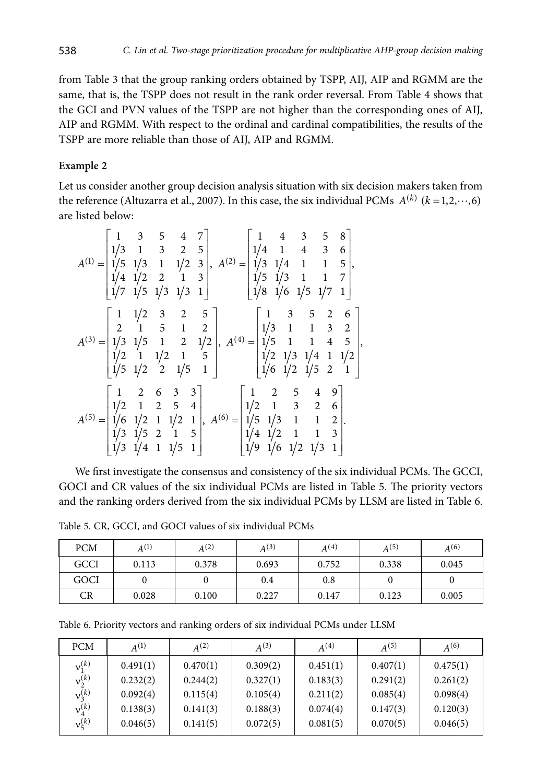from Table 3 that the group ranking orders obtained by TSPP, AIJ, AIP and RGMM are the same, that is, the TSPP does not result in the rank order reversal. From Table 4 shows that the GCI and PVN values of the TSPP are not higher than the corresponding ones of AIJ, AIP and RGMM. With respect to the ordinal and cardinal compatibilities, the results of the TSPP are more reliable than those of AIJ, AIP and RGMM.

# **Example 2**

Let us consider another group decision analysis situation with six decision makers taken from the reference (Altuzarra et al., 2007). In this case, the six individual PCMs  $A^{(k)}$  ( $k = 1, 2, \dots, 6$ ) are listed below:

$$
A^{(1)} = \begin{bmatrix} 1 & 3 & 5 & 4 & 7 \\ 1/3 & 1 & 3 & 2 & 5 \\ 1/5 & 1/3 & 1 & 1/2 & 3 \\ 1/4 & 1/2 & 2 & 1 & 3 \\ 1/7 & 1/5 & 1/3 & 1/3 & 1 \end{bmatrix}, A^{(2)} = \begin{bmatrix} 1 & 4 & 3 & 5 & 8 \\ 1/4 & 1 & 4 & 3 & 6 \\ 1/3 & 1/4 & 1 & 1 & 5 \\ 1/5 & 1/3 & 1 & 1 & 7 \\ 1/8 & 1/6 & 1/5 & 1/7 & 1 \end{bmatrix}, A^{(3)} = \begin{bmatrix} 1 & 1/2 & 3 & 2 & 5 \\ 2 & 1 & 5 & 1 & 2 \\ 1/3 & 1/2 & 1 & 5 & 1 \\ 1/2 & 1 & 1/2 & 1 & 5 \\ 1/5 & 1/2 & 2 & 1/5 & 1 \end{bmatrix}, A^{(4)} = \begin{bmatrix} 1 & 3 & 5 & 2 & 6 \\ 1/3 & 1 & 1 & 3 & 2 \\ 1/3 & 1 & 1 & 4 & 5 \\ 1/2 & 1/3 & 1/4 & 1 & 1/2 \\ 1/6 & 1/2 & 1/5 & 2 & 1 \end{bmatrix}, A^{(5)} = \begin{bmatrix} 1 & 2 & 5 & 4 & 9 \\ 1/2 & 1 & 3 & 2 & 6 \\ 1/6 & 1/2 & 1 & 1/2 & 1 \\ 1/3 & 1/5 & 2 & 1 & 5 \\ 1/3 & 1/4 & 1 & 1/5 & 1 \end{bmatrix}, A^{(6)} = \begin{bmatrix} 1 & 2 & 5 & 4 & 9 \\ 1/2 & 1 & 3 & 2 & 6 \\ 1/4 & 1/2 & 1 & 1 & 3 \\ 1/4 & 1/2 & 1 & 1 & 3 \\ 1/4 & 1/2 & 1 & 1 & 3 \\ 1/9 & 1/6 & 1/2 & 1/3 & 1 \end{bmatrix}.
$$

We first investigate the consensus and consistency of the six individual PCMs. The GCCI, GOCI and CR values of the six individual PCMs are listed in Table 5. The priority vectors and the ranking orders derived from the six individual PCMs by LLSM are listed in Table 6.

Table 5. CR, GCCI, and GOCI values of six individual PCMs

| <b>PCM</b>  | $A^{(1)}$ | $A^{(2)}$ | $A^{(3)}$ | $A^{(4)}$ | $A^{(5)}$ | $A^{(6)}$ |
|-------------|-----------|-----------|-----------|-----------|-----------|-----------|
| <b>GCCI</b> | 0.113     | 0.378     | 0.693     | 0.752     | 0.338     | 0.045     |
| GOCI        |           |           | 0.4       | 0.8       |           |           |
| CR          | 0.028     | 0.100     | 0.227     | 0.147     | 0.123     | 0.005     |

Table 6. Priority vectors and ranking orders of six individual PCMs under LLSM

| <b>PCM</b>           | $A^{(1)}$ | $A^{(2)}$ | $A^{(3)}$ | $A^{(4)}$ | $A^{(5)}$ | $A^{(6)}$ |
|----------------------|-----------|-----------|-----------|-----------|-----------|-----------|
| $v_1^{(k)}$          | 0.491(1)  | 0.470(1)  | 0.309(2)  | 0.451(1)  | 0.407(1)  | 0.475(1)  |
| $v_2^{(k)}$          | 0.232(2)  | 0.244(2)  | 0.327(1)  | 0.183(3)  | 0.291(2)  | 0.261(2)  |
| $v_3^{(k)}$          | 0.092(4)  | 0.115(4)  | 0.105(4)  | 0.211(2)  | 0.085(4)  | 0.098(4)  |
| $v_4^{(k)}$          | 0.138(3)  | 0.141(3)  | 0.188(3)  | 0.074(4)  | 0.147(3)  | 0.120(3)  |
| $v_{\epsilon}^{(k)}$ | 0.046(5)  | 0.141(5)  | 0.072(5)  | 0.081(5)  | 0.070(5)  | 0.046(5)  |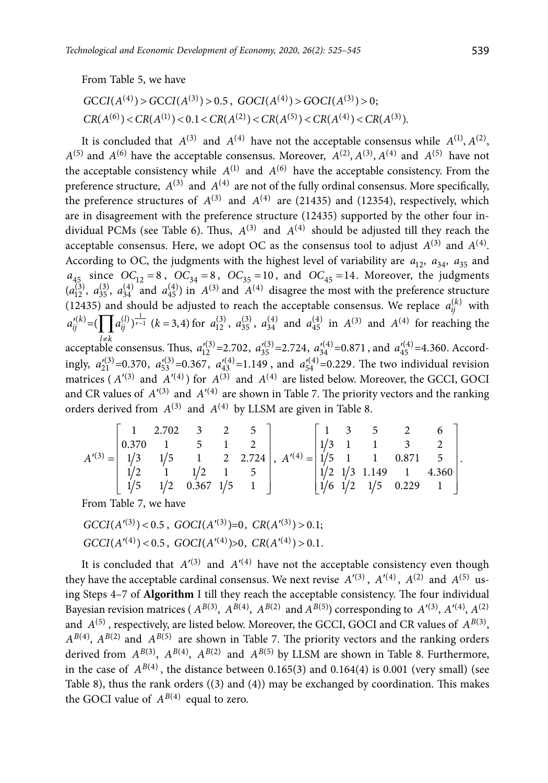From Table 5, we have

$$
GCCI(A^{(4)}) > GCCI(A^{(3)}) > 0.5, \ GOCI(A^{(4)}) > GOCI(A^{(3)}) > 0;
$$
  
\n
$$
CR(A^{(6)}) < CR(A^{(1)}) < 0.1 < CR(A^{(2)}) < CR(A^{(5)}) < CR(A^{(4)}) < CR(A^{(3)}).
$$

It is concluded that  $A^{(3)}$  and  $A^{(4)}$  have not the acceptable consensus while  $A^{(1)}, A^{(2)}$ ,  $A^{(5)}$  and  $A^{(6)}$  have the acceptable consensus. Moreover,  $A^{(2)}$ ,  $A^{(3)}$ ,  $A^{(4)}$  and  $A^{(5)}$  have not the acceptable consistency while  $A^{(1)}$  and  $A^{(6)}$  have the acceptable consistency. From the preference structure,  $A^{(3)}$  and  $A^{(4)}$  are not of the fully ordinal consensus. More specifically, the preference structures of  $A^{(3)}$  and  $A^{(4)}$  are (21435) and (12354), respectively, which are in disagreement with the preference structure (12435) supported by the other four individual PCMs (see Table 6). Thus,  $A^{(3)}$  and  $A^{(4)}$  should be adjusted till they reach the acceptable consensus. Here, we adopt OC as the consensus tool to adjust  $A^{(3)}$  and  $A^{(4)}$ . According to OC, the judgments with the highest level of variability are  $a_{12}$ ,  $a_{34}$ ,  $a_{35}$  and  $a_{45}$  since  $OC_{12} = 8$ ,  $OC_{34} = 8$ ,  $OC_{35} = 10$ , and  $OC_{45} = 14$ . Moreover, the judgments  $(a_{12}^{(3)}, a_{35}^{(3)}, a_{34}^{(4)}$  and  $a_{45}^{(4)}$ ) in  $A^{(3)}$  and  $A^{(4)}$  disagree the most with the preference structure (12435) and should be adjusted to reach the acceptable consensus. We replace  $a_{ij}^{(k)}$  with  $a_{ij}^{(k)}$  **b**  $\overline{H}$   $a_{ij}^{(k)}$   $\overline{H}$   $a_{ij}^{(k)}$   $\overline{H}$  $a_{ij}^{(k)} = (\prod a_{ij}^{(l)})^{\frac{1}{r-1}}$  ( $k = 3,4$ ) for  $a_{12}^{(3)}$ ,  $a_{35}^{(3)}$ ,  $a_{34}^{(4)}$  and  $a_{45}^{(4)}$  in  $A^{(3)}$  and  $A^{(4)}$  for reaching the acceptable consensus. Thus,  $a_{12}^{\prime(3)} = 2.702$ ,  $a_{35}^{\prime(3)} = 2.724$ ,  $a_{34}^{\prime(4)} = 0.871$ , and  $a_{45}^{\prime(4)} = 4.360$ . Accordingly,  $a_{21}^{(3)}=0.370$ ,  $a_{53}^{(3)}=0.367$ ,  $a_{43}^{(4)}=1.149$ , and  $a_{54}^{(4)}=0.229$ . The two individual revision matrices ( $A^{(3)}$  and  $A^{(4)}$ ) for  $A^{(3)}$  and  $A^{(4)}$  are listed below. Moreover, the GCCI, GOCI and CR values of  $A'(3)$  and  $A'(4)$  are shown in Table 7. The priority vectors and the ranking orders derived from  $A^{(3)}$  and  $A^{(4)}$  by LLSM are given in Table 8.

|  |  | $\begin{bmatrix} 1 & 2.702 & 3 & 2 & 5 \end{bmatrix}$ | $A'^{(3)} = \begin{bmatrix} 0.370 & 1 & 5 & 1 & 2 \\ 1/3 & 1/5 & 1 & 2 & 2.724 \\ 1/2 & 1 & 1/2 & 1 & 5 \\ 1/5 & 1/2 & 0.367 & 1/5 & 1 \end{bmatrix}, A'^{(4)} = \begin{bmatrix} 1/3 & 1 & 1 & 3 & 2 \\ 1/5 & 1 & 1 & 0.871 & 5 \\ 1/2 & 1/3 & 1.149 & 1 & 4.360 \\ 1/6 & 1/2 & 1/5 & 0.229 & 1 \end{bmatrix}.$ |  | $\begin{bmatrix} 1 & 3 & 5 & 2 & 6 \end{bmatrix}$ |  |
|--|--|-------------------------------------------------------|-----------------------------------------------------------------------------------------------------------------------------------------------------------------------------------------------------------------------------------------------------------------------------------------------------------------|--|---------------------------------------------------|--|
|  |  |                                                       |                                                                                                                                                                                                                                                                                                                 |  |                                                   |  |

From Table 7, we have

$$
GCCI(A^{\prime(3)}) < 0.5, \, GOCI(A^{\prime(3)}) = 0, \, CR(A^{\prime(3)}) > 0.1;
$$
\n
$$
GCCI(A^{\prime(4)}) < 0.5, \, GOCI(A^{\prime(4)}) > 0, \, CR(A^{\prime(4)}) > 0.1.
$$

It is concluded that  $A'^{(3)}$  and  $A'^{(4)}$  have not the acceptable consistency even though they have the acceptable cardinal consensus. We next revise  $A'(3)$ ,  $A'(4)$ ,  $A^{(2)}$  and  $A^{(5)}$  using Steps 4–7 of **Algorithm** I till they reach the acceptable consistency. The four individual Bayesian revision matrices ( $A^{B(3)}$ ,  $A^{B(4)}$ ,  $A^{B(2)}$  and  $A^{B(5)}$ ) corresponding to  $A'(3)$ ,  $A'(4)$ ,  $A(2)$ and  $A^{(5)}$ , respectively, are listed below. Moreover, the GCCI, GOCI and CR values of  $A^{B(3)}$ ,  $A^{B(4)}$ ,  $A^{B(2)}$  and  $A^{B(5)}$  are shown in Table 7. The priority vectors and the ranking orders derived from  $A^{B(3)}$ ,  $A^{B(4)}$ ,  $A^{B(2)}$  and  $A^{B(5)}$  by LLSM are shown in Table 8. Furthermore, in the case of  $A^{B(4)}$ , the distance between 0.165(3) and 0.164(4) is 0.001 (very small) (see Table 8), thus the rank orders ((3) and (4)) may be exchanged by coordination. This makes the GOCI value of  $A^{B(4)}$  equal to zero.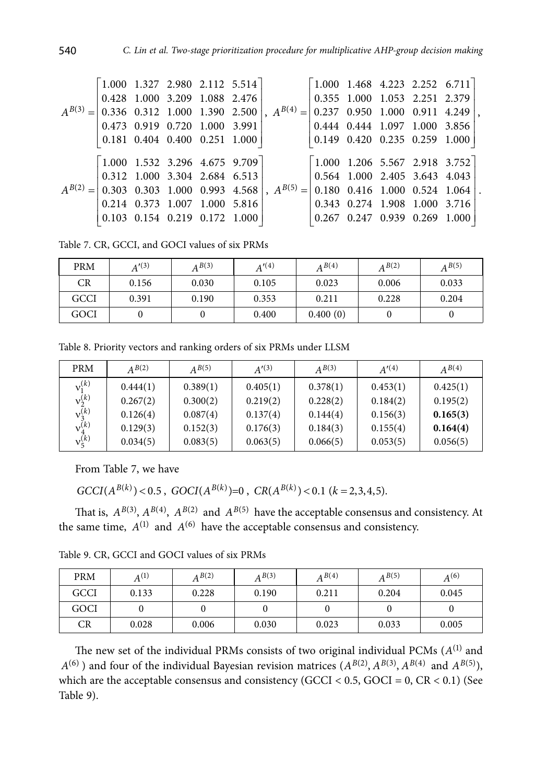| $1.000$ 1.327 2.980 2.112 5.514                                       |  |                                         |                                                                                                                                                                     |                                                                     |  |                               | $\begin{bmatrix} 1.000 & 1.468 & 4.223 & 2.252 & 6.711 \end{bmatrix}$ |  |
|-----------------------------------------------------------------------|--|-----------------------------------------|---------------------------------------------------------------------------------------------------------------------------------------------------------------------|---------------------------------------------------------------------|--|-------------------------------|-----------------------------------------------------------------------|--|
|                                                                       |  | $0.428$ 1.000 3.209 1.088 2.476         |                                                                                                                                                                     |                                                                     |  |                               | $\vert 0.355 \vert 1.000 \vert 1.053 \vert 2.251 \vert 2.379 \vert$   |  |
|                                                                       |  |                                         | $A^{B(3)} = \begin{bmatrix} 0.336 & 0.312 & 1.000 & 1.390 & 2.500 \end{bmatrix}$ , $A^{B(4)} = \begin{bmatrix} 0.237 & 0.950 & 1.000 & 0.911 & 4.249 \end{bmatrix}$ |                                                                     |  |                               |                                                                       |  |
|                                                                       |  | $0.473$ 0.919 0.720 1.000 3.991         |                                                                                                                                                                     |                                                                     |  | 0.444 0.444 1.097 1.000 3.856 |                                                                       |  |
| $\vert 0.181 \vert 0.404 \vert 0.400 \vert 0.251 \vert 1.000 \vert$   |  |                                         |                                                                                                                                                                     |                                                                     |  |                               | $\vert 0.149 \vert 0.420 \vert 0.235 \vert 0.259 \vert 1.000 \vert$   |  |
|                                                                       |  |                                         |                                                                                                                                                                     |                                                                     |  |                               |                                                                       |  |
| $\begin{bmatrix} 1.000 & 1.532 & 3.296 & 4.675 & 9.709 \end{bmatrix}$ |  |                                         |                                                                                                                                                                     |                                                                     |  |                               | $\begin{bmatrix} 1.000 & 1.206 & 5.567 & 2.918 & 3.752 \end{bmatrix}$ |  |
|                                                                       |  | $0.312$ 1.000 3.304 2.684 6.513         |                                                                                                                                                                     | $\vert 0.564 \vert 1.000 \vert 2.405 \vert 3.643 \vert 4.043 \vert$ |  |                               |                                                                       |  |
|                                                                       |  |                                         | $A^{B(2)} =   0.303 \t0.303 \t1.000 \t0.993 \t4.568  , A^{B(5)} =   0.180 \t0.416 \t1.000 \t0.524 \t1.064$                                                          |                                                                     |  |                               |                                                                       |  |
|                                                                       |  | $0.214$ $0.373$ $1.007$ $1.000$ $5.816$ |                                                                                                                                                                     |                                                                     |  |                               |                                                                       |  |
|                                                                       |  | $0.103$ $0.154$ $0.219$ $0.172$ $1.000$ |                                                                                                                                                                     |                                                                     |  | 0.267 0.247 0.939 0.269 1.000 |                                                                       |  |
|                                                                       |  |                                         |                                                                                                                                                                     |                                                                     |  |                               |                                                                       |  |

Table 7. CR, GCCI, and GOCI values of six PRMs

| <b>PRM</b> | A'(3) | A B(3) | A'(4) | $A^{B(4)}$ | $A^{B(2)}$ | $A^{B(5)}$ |
|------------|-------|--------|-------|------------|------------|------------|
| CR         | 0.156 | 0.030  | 0.105 | 0.023      | 0.006      | 0.033      |
| GCCI       | 0.391 | 0.190  | 0.353 | 0.211      | 0.228      | 0.204      |
| GOCI       |       |        | 0.400 | 0.400(0)   |            |            |

Table 8. Priority vectors and ranking orders of six PRMs under LLSM

| <b>PRM</b>    | A B(2)   | A B(5)   | A'(3)    | A B(3)   | A'(4)    | A B(4)   |
|---------------|----------|----------|----------|----------|----------|----------|
| $v_1^{(k)}$   | 0.444(1) | 0.389(1) | 0.405(1) | 0.378(1) | 0.453(1) | 0.425(1) |
| $v_2^{(k)}$   | 0.267(2) | 0.300(2) | 0.219(2) | 0.228(2) | 0.184(2) | 0.195(2) |
| $v_3^{(k)}$   | 0.126(4) | 0.087(4) | 0.137(4) | 0.144(4) | 0.156(3) | 0.165(3) |
| $v_4^{(k)}$   | 0.129(3) | 0.152(3) | 0.176(3) | 0.184(3) | 0.155(4) | 0.164(4) |
| $v_{5}^{(k)}$ | 0.034(5) | 0.083(5) | 0.063(5) | 0.066(5) | 0.053(5) | 0.056(5) |

From Table 7, we have

 $GCCI(A^{B(k)})$  < 0.5,  $GOCI(A^{B(k)})$  = 0,  $CR(A^{B(k)})$  < 0.1  $(k = 2,3,4,5)$ .

That is,  $A^{B(3)}$ ,  $A^{B(4)}$ ,  $A^{B(2)}$  and  $A^{B(5)}$  have the acceptable consensus and consistency. At the same time,  $A^{(1)}$  and  $A^{(6)}$  have the acceptable consensus and consistency.

Table 9. CR, GCCI and GOCI values of six PRMs

| <b>PRM</b> | $A^{(1)}$ | A B(2) | A B(3) | A B(4) | $A^{B(5)}$ | $A^{(6)}$ |
|------------|-----------|--------|--------|--------|------------|-----------|
| GCCI       | 0.133     | 0.228  | 0.190  | 0.211  | 0.204      | 0.045     |
| GOCI       |           |        |        |        |            |           |
| CR         | 0.028     | 0.006  | 0.030  | 0.023  | 0.033      | 0.005     |

The new set of the individual PRMs consists of two original individual PCMs (*A*(1) and  $A^{(6)}$ ) and four of the individual Bayesian revision matrices  $(A^{B(2)}, A^{B(3)}, A^{B(4)}$  and  $A^{B(5)}$ ), which are the acceptable consensus and consistency (GCCI <  $0.5$ , GOCI =  $0$ , CR <  $0.1$ ) (See Table 9).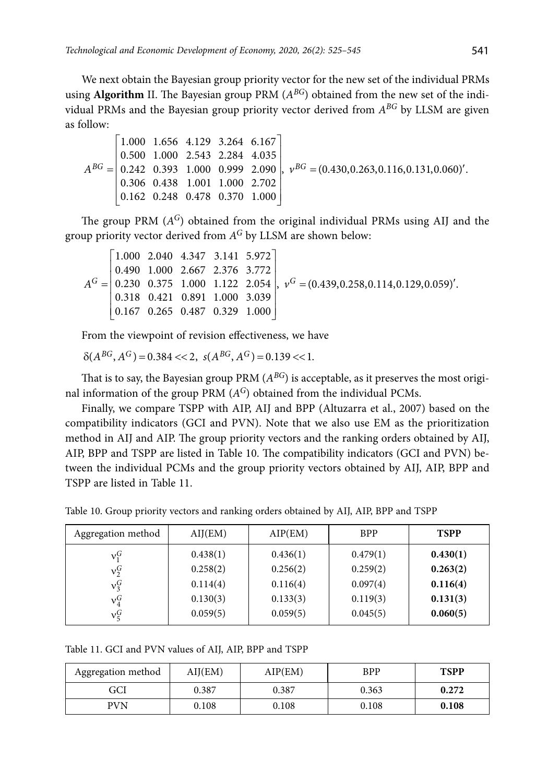We next obtain the Bayesian group priority vector for the new set of the individual PRMs using **Algorithm** II. The Bayesian group PRM (*ABG*) obtained from the new set of the individual PRMs and the Bayesian group priority vector derived from *ABG* by LLSM are given as follow:

$$
A^{BG} = \begin{bmatrix} 1.000 & 1.656 & 4.129 & 3.264 & 6.167 \\ 0.500 & 1.000 & 2.543 & 2.284 & 4.035 \\ 0.242 & 0.393 & 1.000 & 0.999 & 2.090 \\ 0.306 & 0.438 & 1.001 & 1.000 & 2.702 \\ 0.162 & 0.248 & 0.478 & 0.370 & 1.000 \end{bmatrix}, \ v^{BG} = (0.430, 0.263, 0.116, 0.131, 0.060)'
$$

The group PRM (*AG*) obtained from the original individual PRMs using AIJ and the group priority vector derived from *AG* by LLSM are shown below:

$$
AG = \begin{bmatrix} 1.000 & 2.040 & 4.347 & 3.141 & 5.972 \\ 0.490 & 1.000 & 2.667 & 2.376 & 3.772 \\ 0.230 & 0.375 & 1.000 & 1.122 & 2.054 \\ 0.318 & 0.421 & 0.891 & 1.000 & 3.039 \\ 0.167 & 0.265 & 0.487 & 0.329 & 1.000 \end{bmatrix}, vG = (0.439, 0.258, 0.114, 0.129, 0.059)'
$$

From the viewpoint of revision effectiveness, we have

$$
\delta(A^{BG}, A^G) = 0.384 \ll 2, \ s(A^{BG}, A^G) = 0.139 \ll 1.
$$

That is to say, the Bayesian group PRM  $(A^{BG})$  is acceptable, as it preserves the most original information of the group PRM (*AG*) obtained from the individual PCMs.

Finally, we compare TSPP with AIP, AIJ and BPP (Altuzarra et al., 2007) based on the compatibility indicators (GCI and PVN). Note that we also use EM as the prioritization method in AIJ and AIP. The group priority vectors and the ranking orders obtained by AIJ, AIP, BPP and TSPP are listed in Table 10. The compatibility indicators (GCI and PVN) between the individual PCMs and the group priority vectors obtained by AIJ, AIP, BPP and TSPP are listed in Table 11.

Table 10. Group priority vectors and ranking orders obtained by AIJ, AIP, BPP and TSPP

| Aggregation method | AIJ(EM)  | AIP(EM)  | <b>BPP</b> | <b>TSPP</b> |
|--------------------|----------|----------|------------|-------------|
| $v_1^G$            | 0.438(1) | 0.436(1) | 0.479(1)   | 0.430(1)    |
| $v_2^G$            | 0.258(2) | 0.256(2) | 0.259(2)   | 0.263(2)    |
| $v_3^G$            | 0.114(4) | 0.116(4) | 0.097(4)   | 0.116(4)    |
| $\mathrm{v}_4^G$   | 0.130(3) | 0.133(3) | 0.119(3)   | 0.131(3)    |
| $v_{5}^{G}$        | 0.059(5) | 0.059(5) | 0.045(5)   | 0.060(5)    |

Table 11. GCI and PVN values of AIJ, AIP, BPP and TSPP

| Aggregation method | AIJ(EM) | AIP(EM) | <b>BPP</b> | <b>TSPP</b> |
|--------------------|---------|---------|------------|-------------|
| GCI                | 0.387   | 0.387   | 0.363      | 0.272       |
| PVN                | 0.108   | 0.108   | 0.108      | 0.108       |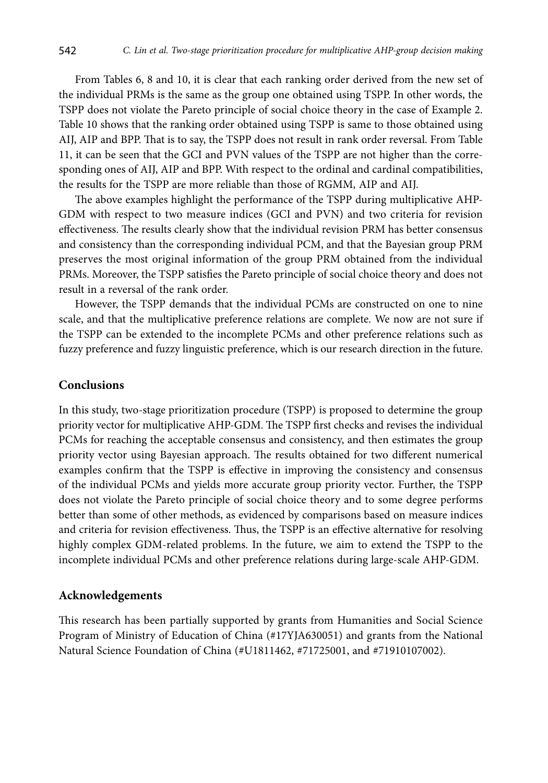From Tables 6, 8 and 10, it is clear that each ranking order derived from the new set of the individual PRMs is the same as the group one obtained using TSPP. In other words, the TSPP does not violate the Pareto principle of social choice theory in the case of Example 2. Table 10 shows that the ranking order obtained using TSPP is same to those obtained using AIJ, AIP and BPP. That is to say, the TSPP does not result in rank order reversal. From Table 11, it can be seen that the GCI and PVN values of the TSPP are not higher than the corresponding ones of AIJ, AIP and BPP. With respect to the ordinal and cardinal compatibilities, the results for the TSPP are more reliable than those of RGMM, AIP and AIJ.

The above examples highlight the performance of the TSPP during multiplicative AHP-GDM with respect to two measure indices (GCI and PVN) and two criteria for revision effectiveness. The results clearly show that the individual revision PRM has better consensus and consistency than the corresponding individual PCM, and that the Bayesian group PRM preserves the most original information of the group PRM obtained from the individual PRMs. Moreover, the TSPP satisfies the Pareto principle of social choice theory and does not result in a reversal of the rank order.

However, the TSPP demands that the individual PCMs are constructed on one to nine scale, and that the multiplicative preference relations are complete. We now are not sure if the TSPP can be extended to the incomplete PCMs and other preference relations such as fuzzy preference and fuzzy linguistic preference, which is our research [direction](file:///D:/TTED/%2b02_2020/javascript:;) in the future.

# **Conclusions**

In this study, two-stage prioritization procedure (TSPP) is proposed to determine the group priority vector for multiplicative AHP-GDM. The TSPP first checks and revises the individual PCMs for reaching the acceptable consensus and consistency, and then estimates the group priority vector using Bayesian approach. The results obtained for two different numerical examples confirm that the TSPP is effective in improving the consistency and consensus of the individual PCMs and yields more accurate group priority vector. Further, the TSPP does not violate the Pareto principle of social choice theory and to some degree performs better than some of other methods, as evidenced by comparisons based on measure indices and criteria for revision effectiveness. Thus, the TSPP is an effective alternative for resolving highly complex GDM-related problems. In the future, we aim to extend the TSPP to the incomplete individual PCMs and other preference relations during large-scale AHP-GDM.

#### **Acknowledgements**

This research has been partially supported by grants from Humanities and Social Science Program of Ministry of Education of China (#17YJA630051) and grants from the National Natural Science Foundation of China (#U1811462, #71725001, and #71910107002).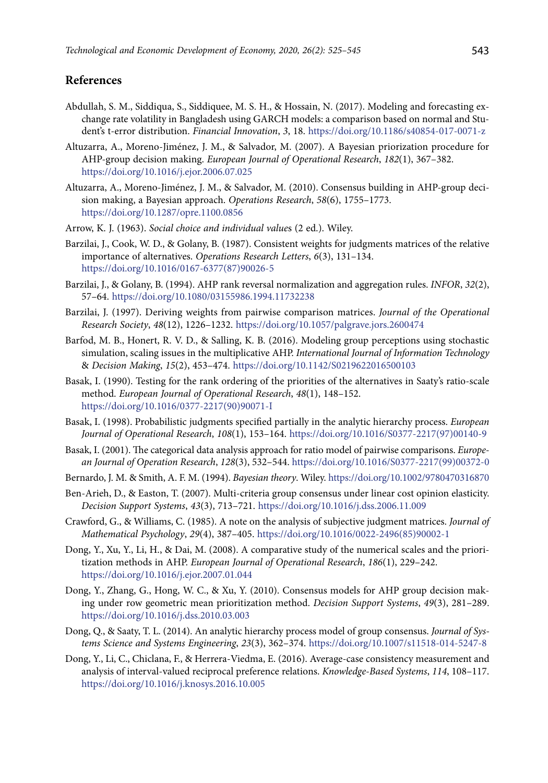# **References**

- Abdullah, S. M., Siddiqua, S., Siddiquee, M. S. H., & Hossain, N. (2017). Modeling and forecasting exchange rate volatility in Bangladesh using GARCH models: a comparison based on normal and Student's t-error distribution. *Financial Innovation*, *3*, 18. https://doi.org/10.1186/s40854-017-0071-z
- Altuzarra, A., Moreno-Jiménez, J. M., & Salvador, M. (2007). A Bayesian priorization procedure for AHP-group decision making. *European Journal of Operational Research*, *182*(1), 367–382. <https://doi.org/10.1016/j.ejor.2006.07.025>
- Altuzarra, A., Moreno-Jiménez, J. M., & Salvador, M. (2010). Consensus building in AHP-group decision making, a Bayesian approach. *Operations Research*, *58*(6), 1755–1773. <https://doi.org/10.1287/opre.1100.0856>
- Arrow, K. J. (1963). *Social choice and individual value*s (2 ed.). Wiley.
- Barzilai, J., Cook, W. D., & Golany, B. (1987). Consistent weights for judgments matrices of the relative importance of alternatives. *Operations Research Letters*, *6*(3), 131–134. [https://doi.org/10.1016/0167-6377\(87\)90026-5](https://doi.org/10.1016/0167-6377(87)90026-5)
- Barzilai, J., & Golany, B. (1994). AHP rank reversal normalization and aggregation rules. *INFOR*, *32*(2), 57–64. <https://doi.org/10.1080/03155986.1994.11732238>
- Barzilai, J. (1997). Deriving weights from pairwise comparison matrices. *Journal of the Operational Research Society*, *48*(12), 1226–1232. <https://doi.org/10.1057/palgrave.jors.2600474>
- Barfod, M. B., Honert, R. V. D., & Salling, K. B. (2016). Modeling group perceptions using stochastic simulation, scaling issues in the multiplicative AHP. *International Journal of Information Technology*  & *Decision Making*, *15*(2), 453–474.<https://doi.org/10.1142/S0219622016500103>
- Basak, I. (1990). Testing for the rank ordering of the priorities of the alternatives in Saaty's ratio-scale method. *European Journal of Operational Research*, *48*(1), 148–152. [https://doi.org/10.1016/0377-2217\(90\)90071-I](https://doi.org/10.1016/0377-2217(90)90071-I)
- Basak, I. (1998). Probabilistic judgments specified partially in the analytic hierarchy process. *European Journal of Operational Research*, *108*(1), 153–164. [https://doi.org/10.1016/S0377-2217\(97\)00140-9](https://doi.org/10.1016/S0377-2217(97)00140-9)
- Basak, I. (2001). The categorical data analysis approach for ratio model of pairwise comparisons. *European Journal of Operation Research*, *128*(3), 532–544. [https://doi.org/10.1016/S0377-2217\(99\)00372-0](https://doi.org/10.1016/S0377-2217(99)00372-0)
- Bernardo, J. M. & Smith, A. F. M. (1994). *Bayesian theory*. Wiley.<https://doi.org/10.1002/9780470316870>
- Ben-Arieh, D., & Easton, T. (2007). Multi-criteria group consensus under linear cost opinion elasticity. *Decision Support Systems*, *43*(3), 713–721. <https://doi.org/10.1016/j.dss.2006.11.009>
- Crawford, G., & Williams, C. (1985). A note on the analysis of subjective judgment matrices. *Journal of Mathematical Psychology*, *29*(4), 387–405. [https://doi.org/10.1016/0022-2496\(85\)90002-1](https://doi.org/10.1016/0022-2496(85)90002-1)
- Dong, Y., Xu, Y., Li, H., & Dai, M. (2008). A comparative study of the numerical scales and the prioritization methods in AHP. *European Journal of Operational Research*, *186*(1), 229–242. <https://doi.org/10.1016/j.ejor.2007.01.044>
- Dong, Y., Zhang, G., Hong, W. C., & Xu, Y. (2010). Consensus models for AHP group decision making under row geometric mean prioritization method. *Decision Support Systems*, *49*(3), 281–289. <https://doi.org/10.1016/j.dss.2010.03.003>
- Dong, Q., & Saaty, T. L. (2014). An analytic hierarchy process model of group consensus. *Journal of Systems Science and Systems Engineering*, *23*(3), 362–374. <https://doi.org/10.1007/s11518-014-5247-8>
- Dong, Y., Li, C., Chiclana, F., & Herrera-Viedma, E. (2016). Average-case consistency measurement and analysis of interval-valued reciprocal preference relations. *Knowledge-Based Systems*, *114*, 108–117. <https://doi.org/10.1016/j.knosys.2016.10.005>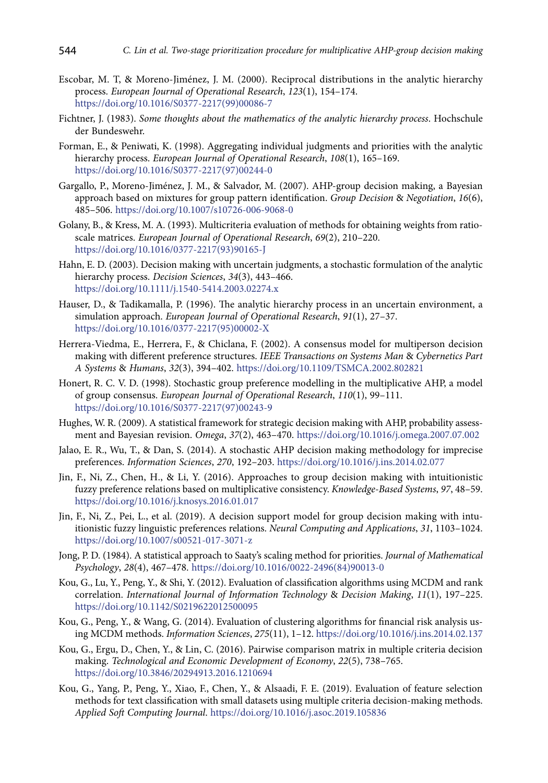- Escobar, M. T, & Moreno-Jiménez, J. M. (2000). Reciprocal distributions in the analytic hierarchy process. *European Journal of Operational Research*, *123*(1), 154–174. [https://doi.org/10.1016/S0377-2217\(99\)00086-7](https://doi.org/10.1016/S0377-2217(99)00086-7)
- Fichtner, J. (1983). *Some thoughts about the mathematics of the analytic hierarchy process*. Hochschule der Bundeswehr.
- Forman, E., & Peniwati, K. (1998). Aggregating individual judgments and priorities with the analytic hierarchy process. *European Journal of Operational Research*, *108*(1), 165–169. [https://doi.org/10.1016/S0377-2217\(97\)00244-0](https://doi.org/10.1016/S0377-2217(97)00244-0)
- Gargallo, P., Moreno-Jiménez, J. M., & Salvador, M. (2007). AHP-group decision making, a Bayesian approach based on mixtures for group pattern identification. *Group Decision* & *Negotiation*, *16*(6), 485–506. <https://doi.org/10.1007/s10726-006-9068-0>
- Golany, B., & Kress, M. A. (1993). Multicriteria evaluation of methods for obtaining weights from ratioscale matrices. *European Journal of Operational Research*, *69*(2), 210–220. [https://doi.org/10.1016/0377-2217\(93\)90165-J](https://doi.org/10.1016/0377-2217(93)90165-J)
- Hahn, E. D. (2003). Decision making with uncertain judgments, a stochastic formulation of the analytic hierarchy process. *Decision Sciences*, *34*(3), 443–466. <https://doi.org/10.1111/j.1540-5414.2003.02274.x>
- Hauser, D., & Tadikamalla, P. (1996). The analytic hierarchy process in an uncertain environment, a simulation approach. *European Journal of Operational Research*, *91*(1), 27–37. https://doi.org/10.1016/0377-2217(95)00002-X
- Herrera-Viedma, E., Herrera, F., & Chiclana, F. (2002). A consensus model for multiperson decision making with different preference structures. *IEEE Transactions on Systems Man* & *Cybernetics Part A Systems* & *Humans*, *32*(3), 394–402. <https://doi.org/10.1109/TSMCA.2002.802821>
- Honert, R. C. V. D. (1998). Stochastic group preference modelling in the multiplicative AHP, a model of group consensus. *European Journal of Operational Research*, *110*(1), 99–111. [https://doi.org/10.1016/S0377-2217\(97\)00243-9](https://doi.org/10.1016/S0377-2217(97)00243-9)
- Hughes, W. R. (2009). A statistical framework for strategic decision making with AHP, probability assessment and Bayesian revision. *Omega*, *37*(2), 463–470. <https://doi.org/10.1016/j.omega.2007.07.002>
- Jalao, E. R., Wu, T., & Dan, S. (2014). A stochastic AHP decision making methodology for imprecise preferences. *Information Sciences*, *270*, 192–203. <https://doi.org/10.1016/j.ins.2014.02.077>
- Jin, F., Ni, Z., Chen, H., & Li, Y. (2016). Approaches to group decision making with intuitionistic fuzzy preference relations based on multiplicative consistency. *Knowledge-Based Systems*, *97*, 48–59. <https://doi.org/10.1016/j.knosys.2016.01.017>
- Jin, F., Ni, Z., Pei, L., et al. (2019). A decision support model for group decision making with intuitionistic fuzzy linguistic preferences relations. *Neural Computing and Applications*, *31*, 1103–1024. <https://doi.org/10.1007/s00521-017-3071-z>
- Jong, P. D. (1984). A statistical approach to Saaty's scaling method for priorities. *Journal of Mathematical Psychology*, *28*(4), 467–478. [https://doi.org/10.1016/0022-2496\(84\)90013-0](https://doi.org/10.1016/0022-2496(84)90013-0)
- Kou, G., Lu, Y., Peng, Y., & Shi, Y. (2012). Evaluation of classification algorithms using MCDM and rank correlation. *[International Journal of Information Technology](https://www.worldscientific.com/worldscinet/ijitdm)* & *Decision Making*, *11*(1), 197–225. <https://doi.org/10.1142/S0219622012500095>
- Kou, G., Peng, Y., & Wang, G. (2014). Evaluation of clustering algorithms for financial risk analysis using MCDM methods. *Information Sciences*, *275*(11), 1–12. https://doi.org/10.1016/j.ins.2014.02.137
- Kou, G., Ergu, D., Chen, Y., & Lin, C. (2016). Pairwise comparison matrix in multiple criteria decision making. *Technological and Economic Development of Economy*, *22*(5), 738–765. <https://doi.org/10.3846/20294913.2016.1210694>
- Kou, G., Yang, P., Peng, Y., Xiao, F., Chen, Y., & Alsaadi, F. E. (2019). Evaluation of feature selection methods for text classification with small datasets using multiple criteria decision-making methods. *Applied Soft Computing Journal*. <https://doi.org/10.1016/j.asoc.2019.105836>